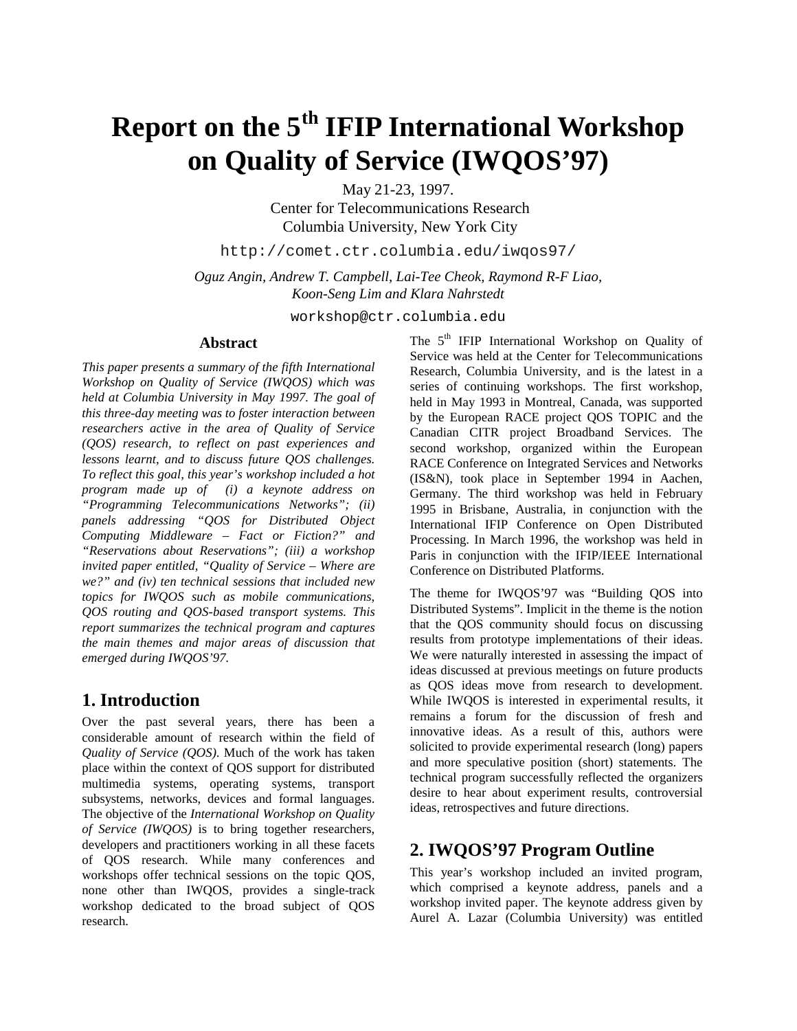# **Report on the 5th IFIP International Workshop on Quality of Service (IWQOS'97)**

May 21-23, 1997.

 Center for Telecommunications Research Columbia University, New York City

http://comet.ctr.columbia.edu/iwqos97/

*Oguz Angin, Andrew T. Campbell, Lai-Tee Cheok, Raymond R-F Liao, Koon-Seng Lim and Klara Nahrstedt*

workshop@ctr.columbia.edu

## **Abstract**

*This paper presents a summary of the fifth International Workshop on Quality of Service (IWQOS) which was held at Columbia University in May 1997. The goal of this three-day meeting was to foster interaction between researchers active in the area of Quality of Service (QOS) research, to reflect on past experiences and lessons learnt, and to discuss future QOS challenges. To reflect this goal, this year's workshop included a hot program made up of (i) a keynote address on "Programming Telecommunications Networks"; (ii) panels addressing "QOS for Distributed Object Computing Middleware – Fact or Fiction?" and "Reservations about Reservations"; (iii) a workshop invited paper entitled, "Quality of Service – Where are we?" and (iv) ten technical sessions that included new topics for IWQOS such as mobile communications, QOS routing and QOS-based transport systems. This report summarizes the technical program and captures the main themes and major areas of discussion that emerged during IWQOS'97.*

# **1. Introduction**

Over the past several years, there has been a considerable amount of research within the field of *Quality of Service (QOS)*. Much of the work has taken place within the context of QOS support for distributed multimedia systems, operating systems, transport subsystems, networks, devices and formal languages. The objective of the *International Workshop on Quality of Service (IWQOS)* is to bring together researchers, developers and practitioners working in all these facets of QOS research. While many conferences and workshops offer technical sessions on the topic QOS, none other than IWQOS, provides a single-track workshop dedicated to the broad subject of QOS research.

The 5<sup>th</sup> IFIP International Workshop on Quality of Service was held at the Center for Telecommunications Research, Columbia University, and is the latest in a series of continuing workshops. The first workshop, held in May 1993 in Montreal, Canada, was supported by the European RACE project QOS TOPIC and the Canadian CITR project Broadband Services. The second workshop, organized within the European RACE Conference on Integrated Services and Networks (IS&N), took place in September 1994 in Aachen, Germany. The third workshop was held in February 1995 in Brisbane, Australia, in conjunction with the International IFIP Conference on Open Distributed Processing. In March 1996, the workshop was held in Paris in conjunction with the IFIP/IEEE International Conference on Distributed Platforms.

The theme for IWQOS'97 was "Building QOS into Distributed Systems". Implicit in the theme is the notion that the QOS community should focus on discussing results from prototype implementations of their ideas. We were naturally interested in assessing the impact of ideas discussed at previous meetings on future products as QOS ideas move from research to development. While IWQOS is interested in experimental results, it remains a forum for the discussion of fresh and innovative ideas. As a result of this, authors were solicited to provide experimental research (long) papers and more speculative position (short) statements. The technical program successfully reflected the organizers desire to hear about experiment results, controversial ideas, retrospectives and future directions.

# **2. IWQOS'97 Program Outline**

This year's workshop included an invited program, which comprised a keynote address, panels and a workshop invited paper. The keynote address given by Aurel A. Lazar (Columbia University) was entitled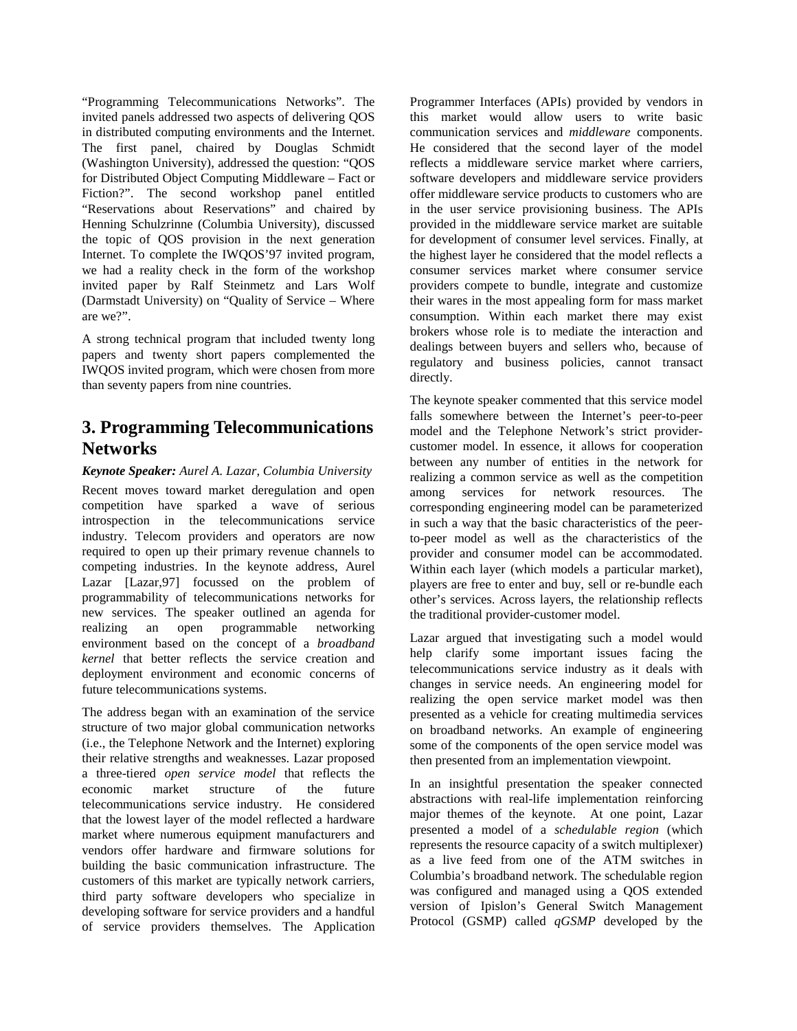"Programming Telecommunications Networks". The invited panels addressed two aspects of delivering QOS in distributed computing environments and the Internet. The first panel, chaired by Douglas Schmidt (Washington University), addressed the question: "QOS for Distributed Object Computing Middleware – Fact or Fiction?". The second workshop panel entitled "Reservations about Reservations" and chaired by Henning Schulzrinne (Columbia University), discussed the topic of QOS provision in the next generation Internet. To complete the IWQOS'97 invited program, we had a reality check in the form of the workshop invited paper by Ralf Steinmetz and Lars Wolf (Darmstadt University) on "Quality of Service – Where are we?".

A strong technical program that included twenty long papers and twenty short papers complemented the IWQOS invited program, which were chosen from more than seventy papers from nine countries.

# **3. Programming Telecommunications Networks**

#### *Keynote Speaker: Aurel A. Lazar, Columbia University*

Recent moves toward market deregulation and open competition have sparked a wave of serious introspection in the telecommunications service industry. Telecom providers and operators are now required to open up their primary revenue channels to competing industries. In the keynote address, Aurel Lazar [Lazar, 97] focussed on the problem of programmability of telecommunications networks for new services. The speaker outlined an agenda for realizing an open programmable networking environment based on the concept of a *broadband kernel* that better reflects the service creation and deployment environment and economic concerns of future telecommunications systems.

The address began with an examination of the service structure of two major global communication networks (i.e., the Telephone Network and the Internet) exploring their relative strengths and weaknesses. Lazar proposed a three-tiered *open service model* that reflects the economic market structure of the future telecommunications service industry. He considered that the lowest layer of the model reflected a hardware market where numerous equipment manufacturers and vendors offer hardware and firmware solutions for building the basic communication infrastructure. The customers of this market are typically network carriers, third party software developers who specialize in developing software for service providers and a handful of service providers themselves. The Application Programmer Interfaces (APIs) provided by vendors in this market would allow users to write basic communication services and *middleware* components. He considered that the second layer of the model reflects a middleware service market where carriers, software developers and middleware service providers offer middleware service products to customers who are in the user service provisioning business. The APIs provided in the middleware service market are suitable for development of consumer level services. Finally, at the highest layer he considered that the model reflects a consumer services market where consumer service providers compete to bundle, integrate and customize their wares in the most appealing form for mass market consumption. Within each market there may exist brokers whose role is to mediate the interaction and dealings between buyers and sellers who, because of regulatory and business policies, cannot transact directly.

The keynote speaker commented that this service model falls somewhere between the Internet's peer-to-peer model and the Telephone Network's strict providercustomer model. In essence, it allows for cooperation between any number of entities in the network for realizing a common service as well as the competition among services for network resources. The corresponding engineering model can be parameterized in such a way that the basic characteristics of the peerto-peer model as well as the characteristics of the provider and consumer model can be accommodated. Within each layer (which models a particular market), players are free to enter and buy, sell or re-bundle each other's services. Across layers, the relationship reflects the traditional provider-customer model.

Lazar argued that investigating such a model would help clarify some important issues facing the telecommunications service industry as it deals with changes in service needs. An engineering model for realizing the open service market model was then presented as a vehicle for creating multimedia services on broadband networks. An example of engineering some of the components of the open service model was then presented from an implementation viewpoint.

In an insightful presentation the speaker connected abstractions with real-life implementation reinforcing major themes of the keynote. At one point, Lazar presented a model of a *schedulable region* (which represents the resource capacity of a switch multiplexer) as a live feed from one of the ATM switches in Columbia's broadband network. The schedulable region was configured and managed using a QOS extended version of Ipislon's General Switch Management Protocol (GSMP) called *qGSMP* developed by the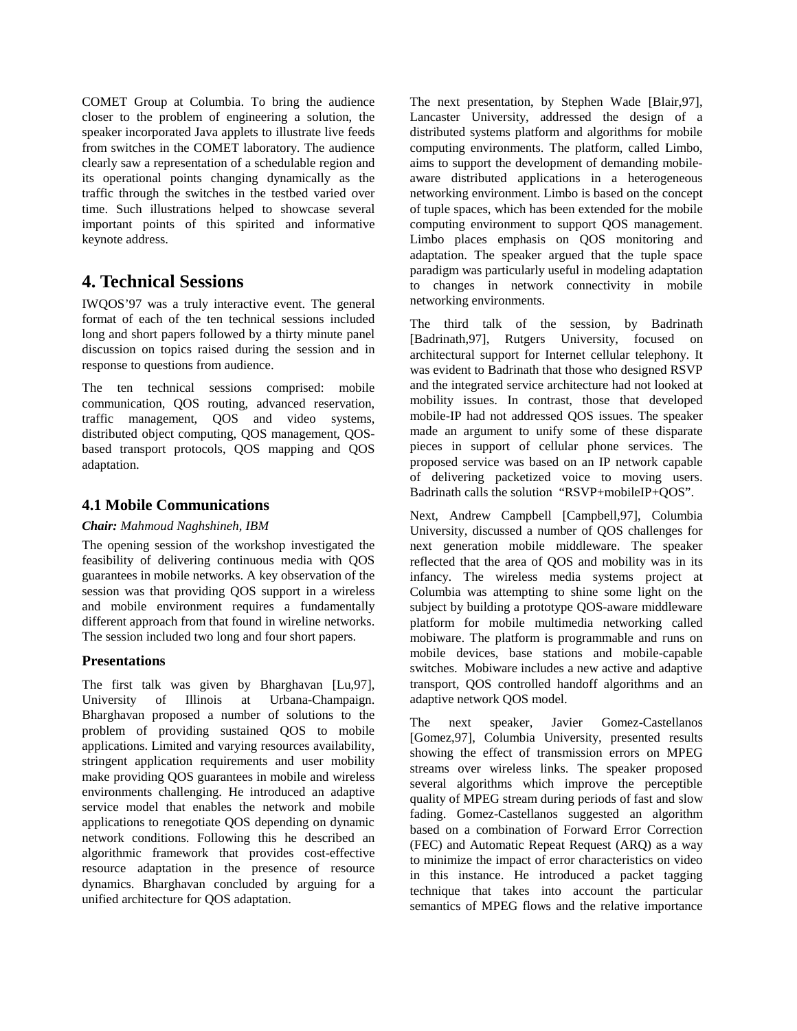COMET Group at Columbia. To bring the audience closer to the problem of engineering a solution, the speaker incorporated Java applets to illustrate live feeds from switches in the COMET laboratory. The audience clearly saw a representation of a schedulable region and its operational points changing dynamically as the traffic through the switches in the testbed varied over time. Such illustrations helped to showcase several important points of this spirited and informative keynote address.

# **4. Technical Sessions**

IWQOS'97 was a truly interactive event. The general format of each of the ten technical sessions included long and short papers followed by a thirty minute panel discussion on topics raised during the session and in response to questions from audience.

The ten technical sessions comprised: mobile communication, QOS routing, advanced reservation, traffic management, QOS and video systems, distributed object computing, QOS management, QOSbased transport protocols, QOS mapping and QOS adaptation.

# **4.1 Mobile Communications**

#### *Chair: Mahmoud Naghshineh, IBM*

The opening session of the workshop investigated the feasibility of delivering continuous media with QOS guarantees in mobile networks. A key observation of the session was that providing QOS support in a wireless and mobile environment requires a fundamentally different approach from that found in wireline networks. The session included two long and four short papers.

## **Presentations**

The first talk was given by Bharghavan [Lu,97], University of Illinois at Urbana-Champaign. Bharghavan proposed a number of solutions to the problem of providing sustained QOS to mobile applications. Limited and varying resources availability, stringent application requirements and user mobility make providing QOS guarantees in mobile and wireless environments challenging. He introduced an adaptive service model that enables the network and mobile applications to renegotiate QOS depending on dynamic network conditions. Following this he described an algorithmic framework that provides cost-effective resource adaptation in the presence of resource dynamics. Bharghavan concluded by arguing for a unified architecture for QOS adaptation.

The next presentation, by Stephen Wade [Blair,97], Lancaster University, addressed the design of a distributed systems platform and algorithms for mobile computing environments. The platform, called Limbo, aims to support the development of demanding mobileaware distributed applications in a heterogeneous networking environment. Limbo is based on the concept of tuple spaces, which has been extended for the mobile computing environment to support QOS management. Limbo places emphasis on QOS monitoring and adaptation. The speaker argued that the tuple space paradigm was particularly useful in modeling adaptation to changes in network connectivity in mobile networking environments.

The third talk of the session, by Badrinath [Badrinath,97], Rutgers University, focused on architectural support for Internet cellular telephony. It was evident to Badrinath that those who designed RSVP and the integrated service architecture had not looked at mobility issues. In contrast, those that developed mobile-IP had not addressed QOS issues. The speaker made an argument to unify some of these disparate pieces in support of cellular phone services. The proposed service was based on an IP network capable of delivering packetized voice to moving users. Badrinath calls the solution "RSVP+mobileIP+QOS".

Next, Andrew Campbell [Campbell,97], Columbia University, discussed a number of QOS challenges for next generation mobile middleware. The speaker reflected that the area of QOS and mobility was in its infancy. The wireless media systems project at Columbia was attempting to shine some light on the subject by building a prototype QOS-aware middleware platform for mobile multimedia networking called mobiware. The platform is programmable and runs on mobile devices, base stations and mobile-capable switches. Mobiware includes a new active and adaptive transport, QOS controlled handoff algorithms and an adaptive network QOS model.

The next speaker, Javier Gomez-Castellanos [Gomez,97], Columbia University, presented results showing the effect of transmission errors on MPEG streams over wireless links. The speaker proposed several algorithms which improve the perceptible quality of MPEG stream during periods of fast and slow fading. Gomez-Castellanos suggested an algorithm based on a combination of Forward Error Correction (FEC) and Automatic Repeat Request (ARQ) as a way to minimize the impact of error characteristics on video in this instance. He introduced a packet tagging technique that takes into account the particular semantics of MPEG flows and the relative importance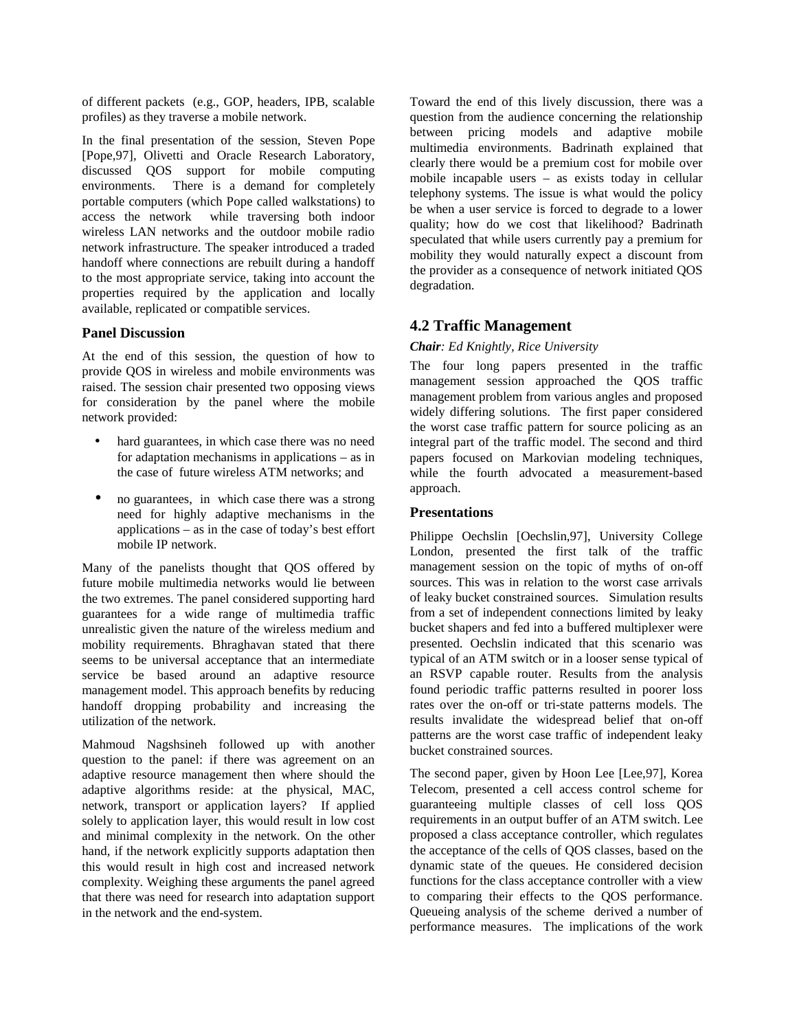of different packets (e.g., GOP, headers, IPB, scalable profiles) as they traverse a mobile network.

In the final presentation of the session, Steven Pope [Pope,97], Olivetti and Oracle Research Laboratory, discussed QOS support for mobile computing environments. There is a demand for completely portable computers (which Pope called walkstations) to access the network while traversing both indoor wireless LAN networks and the outdoor mobile radio network infrastructure. The speaker introduced a traded handoff where connections are rebuilt during a handoff to the most appropriate service, taking into account the properties required by the application and locally available, replicated or compatible services.

## **Panel Discussion**

At the end of this session, the question of how to provide QOS in wireless and mobile environments was raised. The session chair presented two opposing views for consideration by the panel where the mobile network provided:

- hard guarantees, in which case there was no need for adaptation mechanisms in applications – as in the case of future wireless ATM networks; and
- no guarantees, in which case there was a strong need for highly adaptive mechanisms in the applications – as in the case of today's best effort mobile IP network.

Many of the panelists thought that QOS offered by future mobile multimedia networks would lie between the two extremes. The panel considered supporting hard guarantees for a wide range of multimedia traffic unrealistic given the nature of the wireless medium and mobility requirements. Bhraghavan stated that there seems to be universal acceptance that an intermediate service be based around an adaptive resource management model. This approach benefits by reducing handoff dropping probability and increasing the utilization of the network.

Mahmoud Nagshsineh followed up with another question to the panel: if there was agreement on an adaptive resource management then where should the adaptive algorithms reside: at the physical, MAC, network, transport or application layers? If applied solely to application layer, this would result in low cost and minimal complexity in the network. On the other hand, if the network explicitly supports adaptation then this would result in high cost and increased network complexity. Weighing these arguments the panel agreed that there was need for research into adaptation support in the network and the end-system.

Toward the end of this lively discussion, there was a question from the audience concerning the relationship between pricing models and adaptive mobile multimedia environments. Badrinath explained that clearly there would be a premium cost for mobile over mobile incapable users – as exists today in cellular telephony systems. The issue is what would the policy be when a user service is forced to degrade to a lower quality; how do we cost that likelihood? Badrinath speculated that while users currently pay a premium for mobility they would naturally expect a discount from the provider as a consequence of network initiated QOS degradation.

## **4.2 Traffic Management**

#### *Chair: Ed Knightly, Rice University*

The four long papers presented in the traffic management session approached the QOS traffic management problem from various angles and proposed widely differing solutions. The first paper considered the worst case traffic pattern for source policing as an integral part of the traffic model. The second and third papers focused on Markovian modeling techniques, while the fourth advocated a measurement-based approach.

### **Presentations**

Philippe Oechslin [Oechslin,97], University College London, presented the first talk of the traffic management session on the topic of myths of on-off sources. This was in relation to the worst case arrivals of leaky bucket constrained sources. Simulation results from a set of independent connections limited by leaky bucket shapers and fed into a buffered multiplexer were presented. Oechslin indicated that this scenario was typical of an ATM switch or in a looser sense typical of an RSVP capable router. Results from the analysis found periodic traffic patterns resulted in poorer loss rates over the on-off or tri-state patterns models. The results invalidate the widespread belief that on-off patterns are the worst case traffic of independent leaky bucket constrained sources.

The second paper, given by Hoon Lee [Lee,97], Korea Telecom, presented a cell access control scheme for guaranteeing multiple classes of cell loss QOS requirements in an output buffer of an ATM switch. Lee proposed a class acceptance controller, which regulates the acceptance of the cells of QOS classes, based on the dynamic state of the queues. He considered decision functions for the class acceptance controller with a view to comparing their effects to the QOS performance. Queueing analysis of the scheme derived a number of performance measures. The implications of the work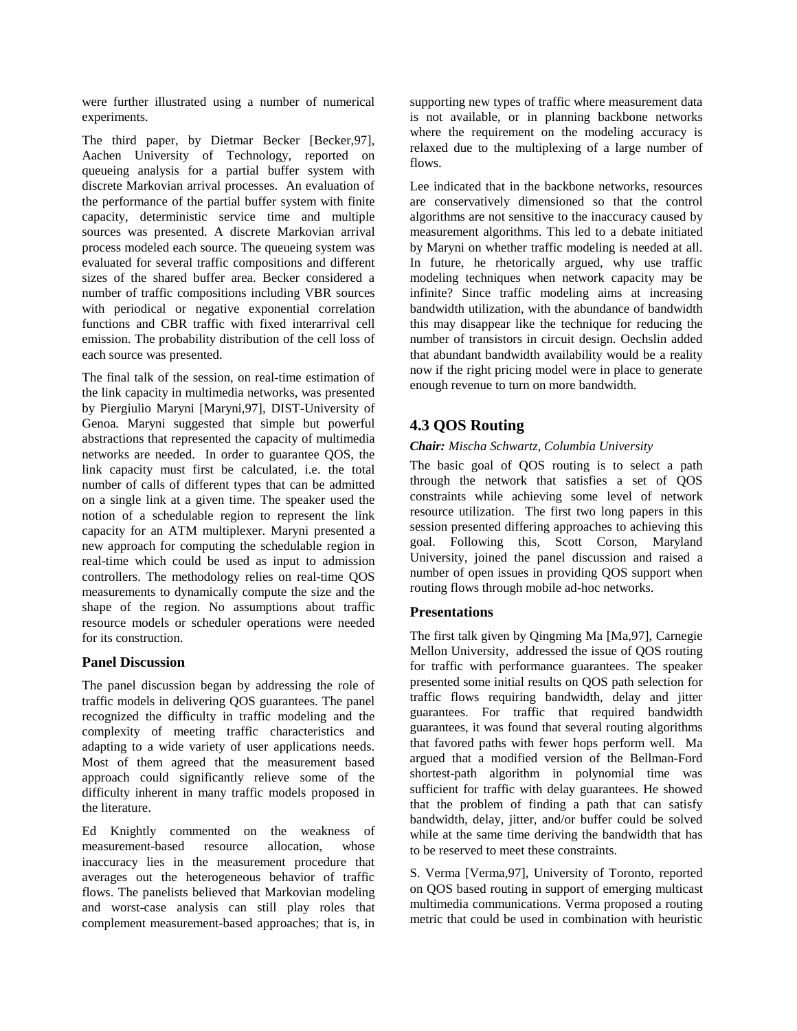were further illustrated using a number of numerical experiments.

The third paper, by Dietmar Becker [Becker,97], Aachen University of Technology, reported on queueing analysis for a partial buffer system with discrete Markovian arrival processes. An evaluation of the performance of the partial buffer system with finite capacity, deterministic service time and multiple sources was presented. A discrete Markovian arrival process modeled each source. The queueing system was evaluated for several traffic compositions and different sizes of the shared buffer area. Becker considered a number of traffic compositions including VBR sources with periodical or negative exponential correlation functions and CBR traffic with fixed interarrival cell emission. The probability distribution of the cell loss of each source was presented.

The final talk of the session, on real-time estimation of the link capacity in multimedia networks, was presented by Piergiulio Maryni [Maryni,97], DIST-University of Genoa*.* Maryni suggested that simple but powerful abstractions that represented the capacity of multimedia networks are needed. In order to guarantee QOS, the link capacity must first be calculated, i.e. the total number of calls of different types that can be admitted on a single link at a given time. The speaker used the notion of a schedulable region to represent the link capacity for an ATM multiplexer. Maryni presented a new approach for computing the schedulable region in real-time which could be used as input to admission controllers. The methodology relies on real-time QOS measurements to dynamically compute the size and the shape of the region. No assumptions about traffic resource models or scheduler operations were needed for its construction.

#### **Panel Discussion**

The panel discussion began by addressing the role of traffic models in delivering QOS guarantees. The panel recognized the difficulty in traffic modeling and the complexity of meeting traffic characteristics and adapting to a wide variety of user applications needs. Most of them agreed that the measurement based approach could significantly relieve some of the difficulty inherent in many traffic models proposed in the literature.

Ed Knightly commented on the weakness of measurement-based resource allocation, whose inaccuracy lies in the measurement procedure that averages out the heterogeneous behavior of traffic flows. The panelists believed that Markovian modeling and worst-case analysis can still play roles that complement measurement-based approaches; that is, in supporting new types of traffic where measurement data is not available, or in planning backbone networks where the requirement on the modeling accuracy is relaxed due to the multiplexing of a large number of flows.

Lee indicated that in the backbone networks, resources are conservatively dimensioned so that the control algorithms are not sensitive to the inaccuracy caused by measurement algorithms. This led to a debate initiated by Maryni on whether traffic modeling is needed at all. In future, he rhetorically argued, why use traffic modeling techniques when network capacity may be infinite? Since traffic modeling aims at increasing bandwidth utilization, with the abundance of bandwidth this may disappear like the technique for reducing the number of transistors in circuit design. Oechslin added that abundant bandwidth availability would be a reality now if the right pricing model were in place to generate enough revenue to turn on more bandwidth.

# **4.3 QOS Routing**

## *Chair: Mischa Schwartz, Columbia University*

The basic goal of QOS routing is to select a path through the network that satisfies a set of QOS constraints while achieving some level of network resource utilization. The first two long papers in this session presented differing approaches to achieving this goal. Following this, Scott Corson, Maryland University, joined the panel discussion and raised a number of open issues in providing QOS support when routing flows through mobile ad-hoc networks.

## **Presentations**

The first talk given by Qingming Ma [Ma,97], Carnegie Mellon University, addressed the issue of QOS routing for traffic with performance guarantees. The speaker presented some initial results on QOS path selection for traffic flows requiring bandwidth, delay and jitter guarantees. For traffic that required bandwidth guarantees, it was found that several routing algorithms that favored paths with fewer hops perform well. Ma argued that a modified version of the Bellman-Ford shortest-path algorithm in polynomial time was sufficient for traffic with delay guarantees. He showed that the problem of finding a path that can satisfy bandwidth, delay, jitter, and/or buffer could be solved while at the same time deriving the bandwidth that has to be reserved to meet these constraints.

S. Verma [Verma,97], University of Toronto, reported on QOS based routing in support of emerging multicast multimedia communications. Verma proposed a routing metric that could be used in combination with heuristic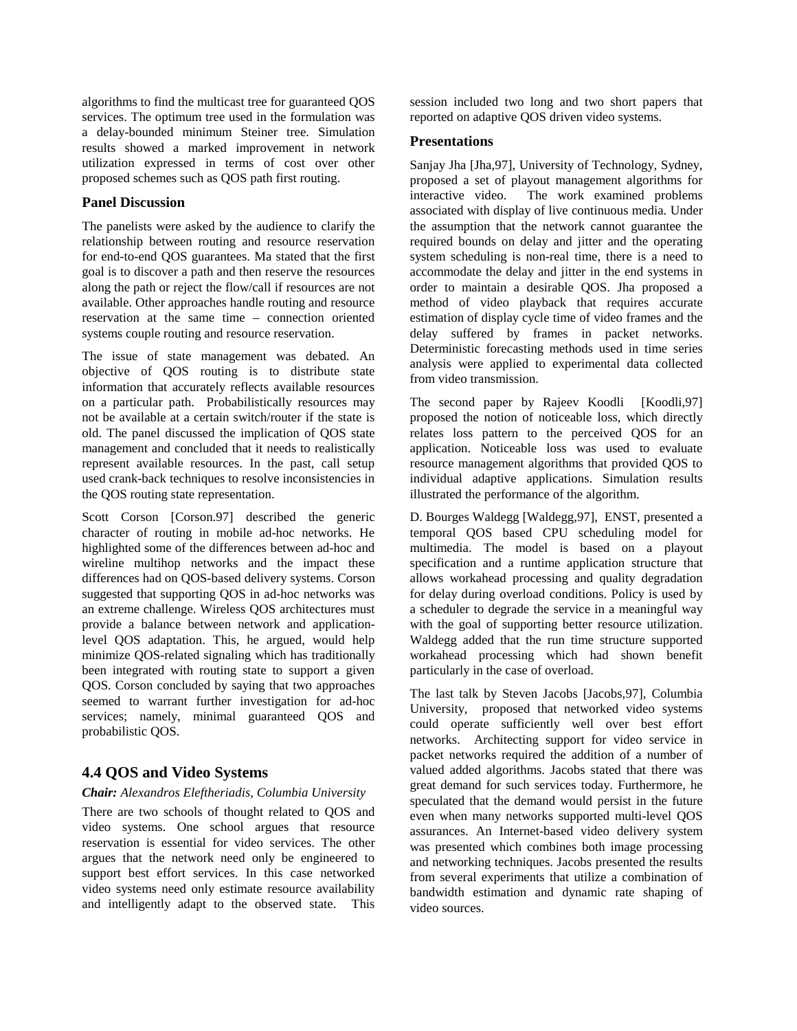algorithms to find the multicast tree for guaranteed QOS services. The optimum tree used in the formulation was a delay-bounded minimum Steiner tree. Simulation results showed a marked improvement in network utilization expressed in terms of cost over other proposed schemes such as QOS path first routing.

#### **Panel Discussion**

The panelists were asked by the audience to clarify the relationship between routing and resource reservation for end-to-end QOS guarantees. Ma stated that the first goal is to discover a path and then reserve the resources along the path or reject the flow/call if resources are not available. Other approaches handle routing and resource reservation at the same time – connection oriented systems couple routing and resource reservation.

The issue of state management was debated. An objective of QOS routing is to distribute state information that accurately reflects available resources on a particular path. Probabilistically resources may not be available at a certain switch/router if the state is old. The panel discussed the implication of QOS state management and concluded that it needs to realistically represent available resources. In the past, call setup used crank-back techniques to resolve inconsistencies in the QOS routing state representation.

Scott Corson [Corson.97] described the generic character of routing in mobile ad-hoc networks. He highlighted some of the differences between ad-hoc and wireline multihop networks and the impact these differences had on QOS-based delivery systems. Corson suggested that supporting QOS in ad-hoc networks was an extreme challenge. Wireless QOS architectures must provide a balance between network and applicationlevel QOS adaptation. This, he argued, would help minimize QOS-related signaling which has traditionally been integrated with routing state to support a given QOS. Corson concluded by saying that two approaches seemed to warrant further investigation for ad-hoc services; namely, minimal guaranteed QOS and probabilistic QOS.

### **4.4 QOS and Video Systems**

#### *Chair: Alexandros Eleftheriadis, Columbia University*

There are two schools of thought related to QOS and video systems. One school argues that resource reservation is essential for video services. The other argues that the network need only be engineered to support best effort services. In this case networked video systems need only estimate resource availability and intelligently adapt to the observed state. This session included two long and two short papers that reported on adaptive QOS driven video systems.

#### **Presentations**

Sanjay Jha [Jha,97], University of Technology, Sydney, proposed a set of playout management algorithms for interactive video. The work examined problems associated with display of live continuous media. Under the assumption that the network cannot guarantee the required bounds on delay and jitter and the operating system scheduling is non-real time, there is a need to accommodate the delay and jitter in the end systems in order to maintain a desirable QOS. Jha proposed a method of video playback that requires accurate estimation of display cycle time of video frames and the delay suffered by frames in packet networks. Deterministic forecasting methods used in time series analysis were applied to experimental data collected from video transmission.

The second paper by Rajeev Koodli [Koodli, 97] proposed the notion of noticeable loss, which directly relates loss pattern to the perceived QOS for an application. Noticeable loss was used to evaluate resource management algorithms that provided QOS to individual adaptive applications. Simulation results illustrated the performance of the algorithm.

D. Bourges Waldegg [Waldegg,97], ENST, presented a temporal QOS based CPU scheduling model for multimedia. The model is based on a playout specification and a runtime application structure that allows workahead processing and quality degradation for delay during overload conditions. Policy is used by a scheduler to degrade the service in a meaningful way with the goal of supporting better resource utilization. Waldegg added that the run time structure supported workahead processing which had shown benefit particularly in the case of overload.

The last talk by Steven Jacobs [Jacobs,97], Columbia University, proposed that networked video systems could operate sufficiently well over best effort networks. Architecting support for video service in packet networks required the addition of a number of valued added algorithms. Jacobs stated that there was great demand for such services today. Furthermore, he speculated that the demand would persist in the future even when many networks supported multi-level QOS assurances. An Internet-based video delivery system was presented which combines both image processing and networking techniques. Jacobs presented the results from several experiments that utilize a combination of bandwidth estimation and dynamic rate shaping of video sources.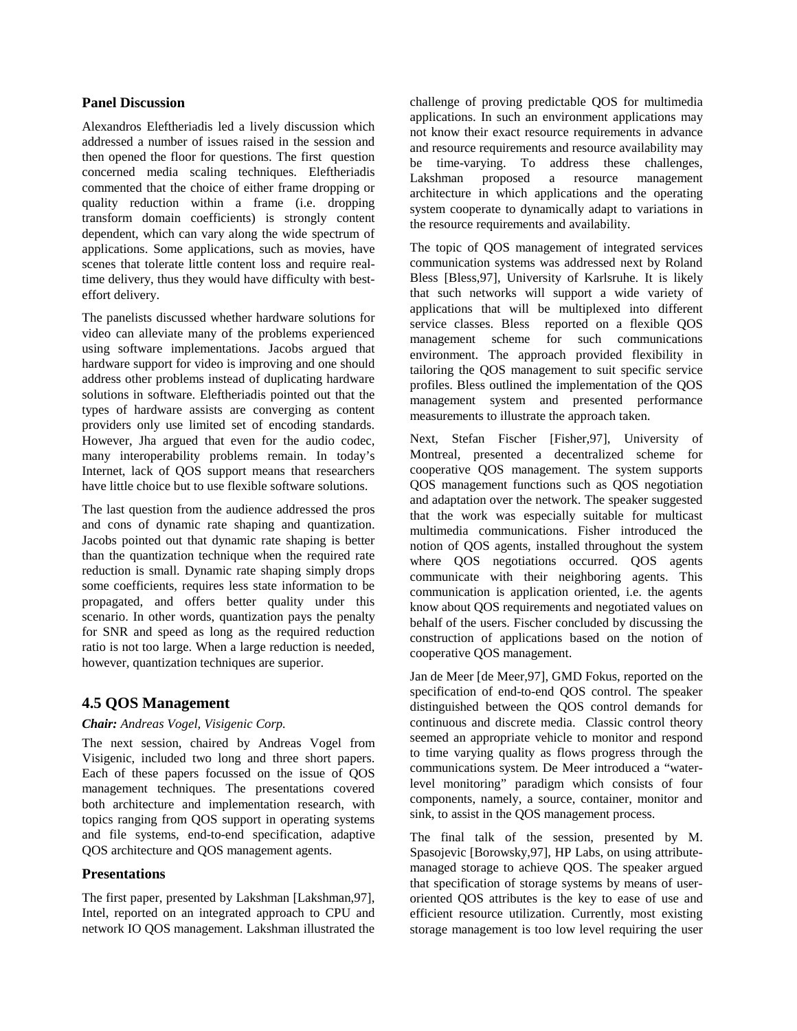#### **Panel Discussion**

Alexandros Eleftheriadis led a lively discussion which addressed a number of issues raised in the session and then opened the floor for questions. The first question concerned media scaling techniques. Eleftheriadis commented that the choice of either frame dropping or quality reduction within a frame (i.e. dropping transform domain coefficients) is strongly content dependent, which can vary along the wide spectrum of applications. Some applications, such as movies, have scenes that tolerate little content loss and require realtime delivery, thus they would have difficulty with besteffort delivery.

The panelists discussed whether hardware solutions for video can alleviate many of the problems experienced using software implementations. Jacobs argued that hardware support for video is improving and one should address other problems instead of duplicating hardware solutions in software. Eleftheriadis pointed out that the types of hardware assists are converging as content providers only use limited set of encoding standards. However, Jha argued that even for the audio codec, many interoperability problems remain. In today's Internet, lack of QOS support means that researchers have little choice but to use flexible software solutions.

The last question from the audience addressed the pros and cons of dynamic rate shaping and quantization. Jacobs pointed out that dynamic rate shaping is better than the quantization technique when the required rate reduction is small. Dynamic rate shaping simply drops some coefficients, requires less state information to be propagated, and offers better quality under this scenario. In other words, quantization pays the penalty for SNR and speed as long as the required reduction ratio is not too large. When a large reduction is needed, however, quantization techniques are superior.

#### **4.5 QOS Management**

#### *Chair: Andreas Vogel, Visigenic Corp.*

The next session, chaired by Andreas Vogel from Visigenic, included two long and three short papers. Each of these papers focussed on the issue of QOS management techniques. The presentations covered both architecture and implementation research, with topics ranging from QOS support in operating systems and file systems, end-to-end specification, adaptive QOS architecture and QOS management agents.

#### **Presentations**

The first paper, presented by Lakshman [Lakshman, 97], Intel, reported on an integrated approach to CPU and network IO QOS management. Lakshman illustrated the

challenge of proving predictable QOS for multimedia applications. In such an environment applications may not know their exact resource requirements in advance and resource requirements and resource availability may be time-varying. To address these challenges, Lakshman proposed a resource management architecture in which applications and the operating system cooperate to dynamically adapt to variations in the resource requirements and availability.

The topic of QOS management of integrated services communication systems was addressed next by Roland Bless [Bless,97], University of Karlsruhe. It is likely that such networks will support a wide variety of applications that will be multiplexed into different service classes. Bless reported on a flexible QOS management scheme for such communications environment. The approach provided flexibility in tailoring the QOS management to suit specific service profiles. Bless outlined the implementation of the QOS management system and presented performance measurements to illustrate the approach taken.

Next, Stefan Fischer [Fisher,97], University of Montreal, presented a decentralized scheme for cooperative QOS management. The system supports QOS management functions such as QOS negotiation and adaptation over the network. The speaker suggested that the work was especially suitable for multicast multimedia communications. Fisher introduced the notion of QOS agents, installed throughout the system where QOS negotiations occurred. QOS agents communicate with their neighboring agents. This communication is application oriented, i.e. the agents know about QOS requirements and negotiated values on behalf of the users. Fischer concluded by discussing the construction of applications based on the notion of cooperative QOS management.

Jan de Meer [de Meer,97], GMD Fokus, reported on the specification of end-to-end QOS control. The speaker distinguished between the QOS control demands for continuous and discrete media. Classic control theory seemed an appropriate vehicle to monitor and respond to time varying quality as flows progress through the communications system. De Meer introduced a "waterlevel monitoring" paradigm which consists of four components, namely, a source, container, monitor and sink, to assist in the QOS management process.

The final talk of the session, presented by M. Spasojevic [Borowsky,97], HP Labs, on using attributemanaged storage to achieve QOS. The speaker argued that specification of storage systems by means of useroriented QOS attributes is the key to ease of use and efficient resource utilization. Currently, most existing storage management is too low level requiring the user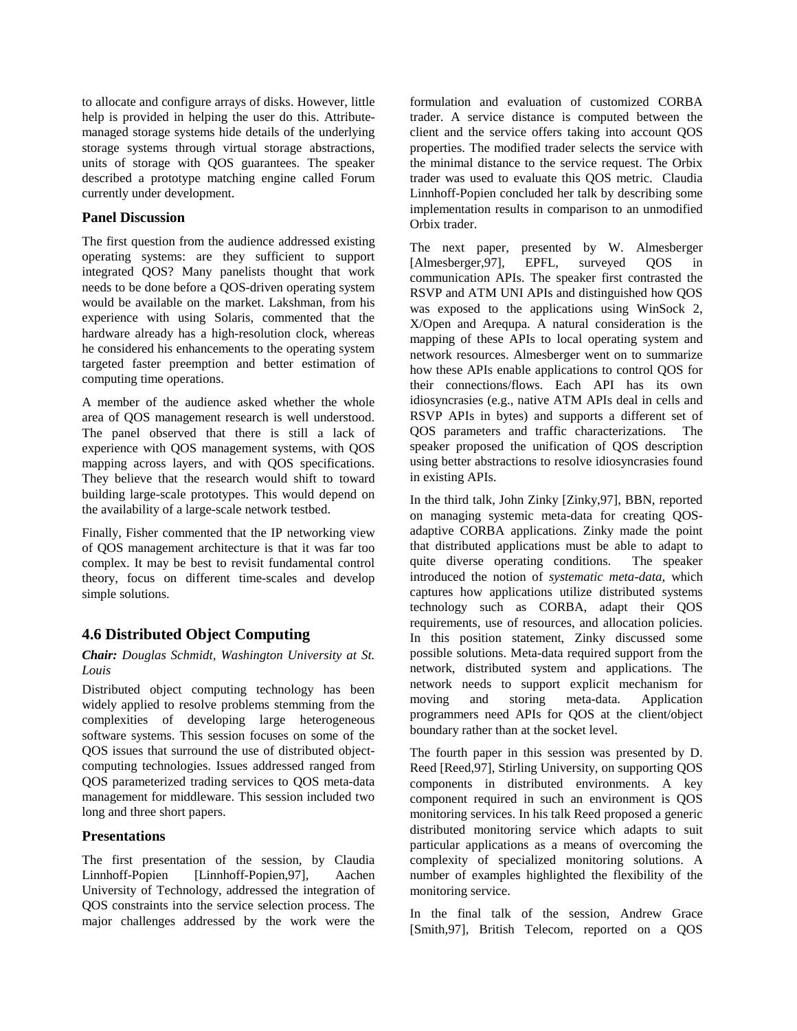to allocate and configure arrays of disks. However, little help is provided in helping the user do this. Attributemanaged storage systems hide details of the underlying storage systems through virtual storage abstractions, units of storage with QOS guarantees. The speaker described a prototype matching engine called Forum currently under development.

### **Panel Discussion**

The first question from the audience addressed existing operating systems: are they sufficient to support integrated QOS? Many panelists thought that work needs to be done before a QOS-driven operating system would be available on the market. Lakshman, from his experience with using Solaris, commented that the hardware already has a high-resolution clock, whereas he considered his enhancements to the operating system targeted faster preemption and better estimation of computing time operations.

A member of the audience asked whether the whole area of QOS management research is well understood. The panel observed that there is still a lack of experience with QOS management systems, with QOS mapping across layers, and with QOS specifications. They believe that the research would shift to toward building large-scale prototypes. This would depend on the availability of a large-scale network testbed.

Finally, Fisher commented that the IP networking view of QOS management architecture is that it was far too complex. It may be best to revisit fundamental control theory, focus on different time-scales and develop simple solutions.

# **4.6 Distributed Object Computing**

#### *Chair: Douglas Schmidt, Washington University at St. Louis*

Distributed object computing technology has been widely applied to resolve problems stemming from the complexities of developing large heterogeneous software systems. This session focuses on some of the QOS issues that surround the use of distributed objectcomputing technologies. Issues addressed ranged from QOS parameterized trading services to QOS meta-data management for middleware. This session included two long and three short papers.

#### **Presentations**

The first presentation of the session, by Claudia<br>Linnhoff-Popien [Linnhoff-Popien,97], Aachen Linnhoff-Popien [Linnhoff-Popien, 97], University of Technology, addressed the integration of QOS constraints into the service selection process. The major challenges addressed by the work were the formulation and evaluation of customized CORBA trader. A service distance is computed between the client and the service offers taking into account QOS properties. The modified trader selects the service with the minimal distance to the service request. The Orbix trader was used to evaluate this QOS metric. Claudia Linnhoff-Popien concluded her talk by describing some implementation results in comparison to an unmodified Orbix trader.

The next paper, presented by W. Almesberger [Almesberger,97], EPFL, surveyed QOS in communication APIs. The speaker first contrasted the RSVP and ATM UNI APIs and distinguished how QOS was exposed to the applications using WinSock 2, X/Open and Arequpa. A natural consideration is the mapping of these APIs to local operating system and network resources. Almesberger went on to summarize how these APIs enable applications to control QOS for their connections/flows. Each API has its own idiosyncrasies (e.g., native ATM APIs deal in cells and RSVP APIs in bytes) and supports a different set of QOS parameters and traffic characterizations. The speaker proposed the unification of QOS description using better abstractions to resolve idiosyncrasies found in existing APIs.

In the third talk, John Zinky [Zinky,97], BBN, reported on managing systemic meta-data for creating QOSadaptive CORBA applications. Zinky made the point that distributed applications must be able to adapt to quite diverse operating conditions. The speaker introduced the notion of *systematic meta-data*, which captures how applications utilize distributed systems technology such as CORBA, adapt their QOS requirements, use of resources, and allocation policies. In this position statement, Zinky discussed some possible solutions. Meta-data required support from the network, distributed system and applications. The network needs to support explicit mechanism for moving and storing meta-data. Application programmers need APIs for QOS at the client/object boundary rather than at the socket level.

The fourth paper in this session was presented by D. Reed [Reed,97], Stirling University, on supporting QOS components in distributed environments. A key component required in such an environment is QOS monitoring services. In his talk Reed proposed a generic distributed monitoring service which adapts to suit particular applications as a means of overcoming the complexity of specialized monitoring solutions. A number of examples highlighted the flexibility of the monitoring service.

In the final talk of the session, Andrew Grace [Smith,97], British Telecom, reported on a QOS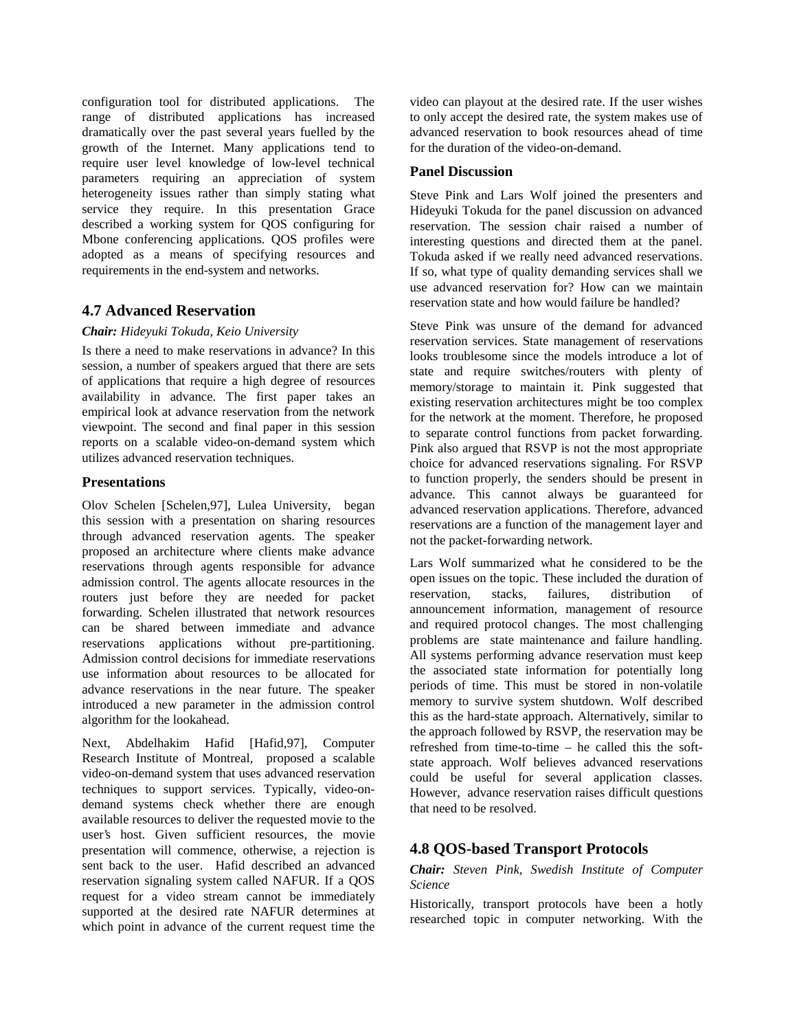configuration tool for distributed applications. The range of distributed applications has increased dramatically over the past several years fuelled by the growth of the Internet. Many applications tend to require user level knowledge of low-level technical parameters requiring an appreciation of system heterogeneity issues rather than simply stating what service they require. In this presentation Grace described a working system for QOS configuring for Mbone conferencing applications. QOS profiles were adopted as a means of specifying resources and requirements in the end-system and networks.

## **4.7 Advanced Reservation**

#### *Chair: Hideyuki Tokuda, Keio University*

Is there a need to make reservations in advance? In this session, a number of speakers argued that there are sets of applications that require a high degree of resources availability in advance. The first paper takes an empirical look at advance reservation from the network viewpoint. The second and final paper in this session reports on a scalable video-on-demand system which utilizes advanced reservation techniques.

## **Presentations**

Olov Schelen [Schelen,97], Lulea University, began this session with a presentation on sharing resources through advanced reservation agents. The speaker proposed an architecture where clients make advance reservations through agents responsible for advance admission control. The agents allocate resources in the routers just before they are needed for packet forwarding. Schelen illustrated that network resources can be shared between immediate and advance reservations applications without pre-partitioning. Admission control decisions for immediate reservations use information about resources to be allocated for advance reservations in the near future. The speaker introduced a new parameter in the admission control algorithm for the lookahead.

Next, Abdelhakim Hafid [Hafid,97], Computer Research Institute of Montreal, proposed a scalable video-on-demand system that uses advanced reservation techniques to support services. Typically, video-ondemand systems check whether there are enough available resources to deliver the requested movie to the user's host. Given sufficient resources, the movie presentation will commence, otherwise, a rejection is sent back to the user. Hafid described an advanced reservation signaling system called NAFUR. If a QOS request for a video stream cannot be immediately supported at the desired rate NAFUR determines at which point in advance of the current request time the video can playout at the desired rate. If the user wishes to only accept the desired rate, the system makes use of advanced reservation to book resources ahead of time for the duration of the video-on-demand.

### **Panel Discussion**

Steve Pink and Lars Wolf joined the presenters and Hideyuki Tokuda for the panel discussion on advanced reservation. The session chair raised a number of interesting questions and directed them at the panel. Tokuda asked if we really need advanced reservations. If so, what type of quality demanding services shall we use advanced reservation for? How can we maintain reservation state and how would failure be handled?

Steve Pink was unsure of the demand for advanced reservation services. State management of reservations looks troublesome since the models introduce a lot of state and require switches/routers with plenty of memory/storage to maintain it. Pink suggested that existing reservation architectures might be too complex for the network at the moment. Therefore, he proposed to separate control functions from packet forwarding. Pink also argued that RSVP is not the most appropriate choice for advanced reservations signaling. For RSVP to function properly, the senders should be present in advance. This cannot always be guaranteed for advanced reservation applications. Therefore, advanced reservations are a function of the management layer and not the packet-forwarding network.

Lars Wolf summarized what he considered to be the open issues on the topic. These included the duration of reservation, stacks, failures, distribution of announcement information, management of resource and required protocol changes. The most challenging problems are state maintenance and failure handling. All systems performing advance reservation must keep the associated state information for potentially long periods of time. This must be stored in non-volatile memory to survive system shutdown. Wolf described this as the hard-state approach. Alternatively, similar to the approach followed by RSVP, the reservation may be refreshed from time-to-time – he called this the softstate approach. Wolf believes advanced reservations could be useful for several application classes. However, advance reservation raises difficult questions that need to be resolved.

# **4.8 QOS-based Transport Protocols**

*Chair: Steven Pink, Swedish Institute of Computer Science*

Historically, transport protocols have been a hotly researched topic in computer networking. With the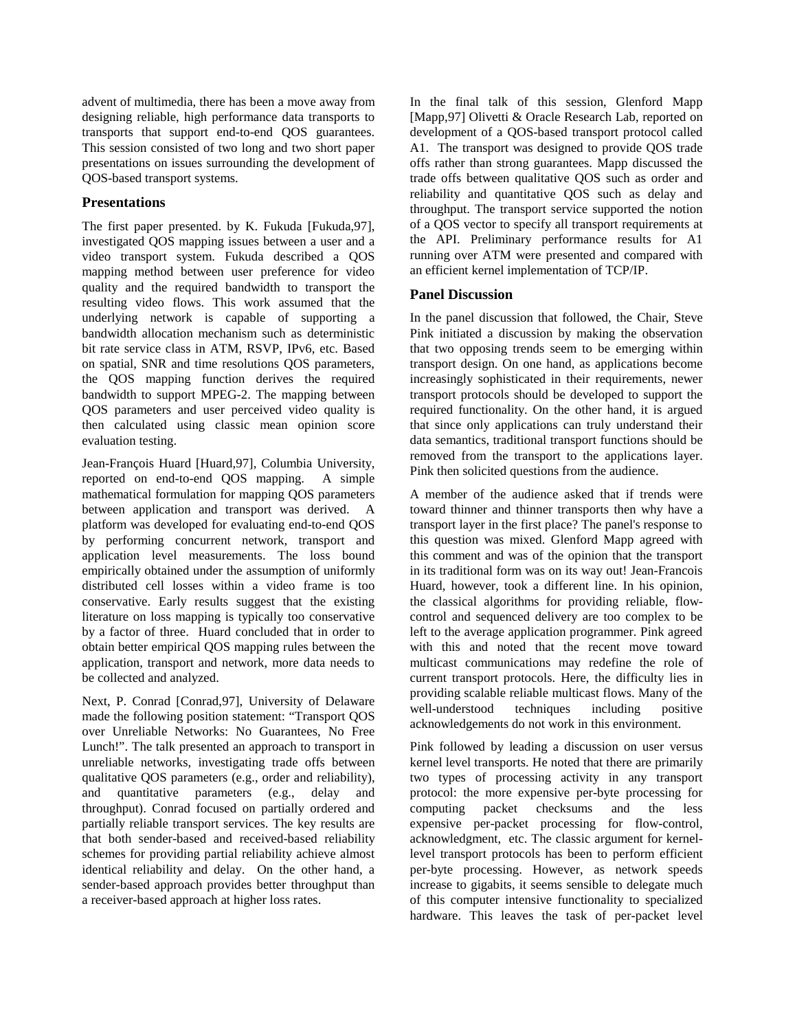advent of multimedia, there has been a move away from designing reliable, high performance data transports to transports that support end-to-end QOS guarantees. This session consisted of two long and two short paper presentations on issues surrounding the development of QOS-based transport systems.

### **Presentations**

The first paper presented. by K. Fukuda [Fukuda,97], investigated QOS mapping issues between a user and a video transport system. Fukuda described a QOS mapping method between user preference for video quality and the required bandwidth to transport the resulting video flows. This work assumed that the underlying network is capable of supporting a bandwidth allocation mechanism such as deterministic bit rate service class in ATM, RSVP, IPv6, etc. Based on spatial, SNR and time resolutions QOS parameters, the QOS mapping function derives the required bandwidth to support MPEG-2. The mapping between QOS parameters and user perceived video quality is then calculated using classic mean opinion score evaluation testing.

Jean-François Huard [Huard,97], Columbia University, reported on end-to-end QOS mapping. A simple mathematical formulation for mapping QOS parameters between application and transport was derived. A platform was developed for evaluating end-to-end QOS by performing concurrent network, transport and application level measurements. The loss bound empirically obtained under the assumption of uniformly distributed cell losses within a video frame is too conservative. Early results suggest that the existing literature on loss mapping is typically too conservative by a factor of three. Huard concluded that in order to obtain better empirical QOS mapping rules between the application, transport and network, more data needs to be collected and analyzed.

Next, P. Conrad [Conrad,97], University of Delaware made the following position statement: "Transport QOS over Unreliable Networks: No Guarantees, No Free Lunch!". The talk presented an approach to transport in unreliable networks, investigating trade offs between qualitative QOS parameters (e.g., order and reliability), and quantitative parameters (e.g., delay and throughput). Conrad focused on partially ordered and partially reliable transport services. The key results are that both sender-based and received-based reliability schemes for providing partial reliability achieve almost identical reliability and delay. On the other hand, a sender-based approach provides better throughput than a receiver-based approach at higher loss rates.

In the final talk of this session, Glenford Mapp [Mapp,97] Olivetti & Oracle Research Lab, reported on development of a QOS-based transport protocol called A1. The transport was designed to provide QOS trade offs rather than strong guarantees. Mapp discussed the trade offs between qualitative QOS such as order and reliability and quantitative QOS such as delay and throughput. The transport service supported the notion of a QOS vector to specify all transport requirements at the API. Preliminary performance results for A1 running over ATM were presented and compared with an efficient kernel implementation of TCP/IP.

## **Panel Discussion**

In the panel discussion that followed, the Chair, Steve Pink initiated a discussion by making the observation that two opposing trends seem to be emerging within transport design. On one hand, as applications become increasingly sophisticated in their requirements, newer transport protocols should be developed to support the required functionality. On the other hand, it is argued that since only applications can truly understand their data semantics, traditional transport functions should be removed from the transport to the applications layer. Pink then solicited questions from the audience.

A member of the audience asked that if trends were toward thinner and thinner transports then why have a transport layer in the first place? The panel's response to this question was mixed. Glenford Mapp agreed with this comment and was of the opinion that the transport in its traditional form was on its way out! Jean-Francois Huard, however, took a different line. In his opinion, the classical algorithms for providing reliable, flowcontrol and sequenced delivery are too complex to be left to the average application programmer. Pink agreed with this and noted that the recent move toward multicast communications may redefine the role of current transport protocols. Here, the difficulty lies in providing scalable reliable multicast flows. Many of the well-understood techniques including positive acknowledgements do not work in this environment.

Pink followed by leading a discussion on user versus kernel level transports. He noted that there are primarily two types of processing activity in any transport protocol: the more expensive per-byte processing for computing packet checksums and the less expensive per-packet processing for flow-control, acknowledgment, etc. The classic argument for kernellevel transport protocols has been to perform efficient per-byte processing. However, as network speeds increase to gigabits, it seems sensible to delegate much of this computer intensive functionality to specialized hardware. This leaves the task of per-packet level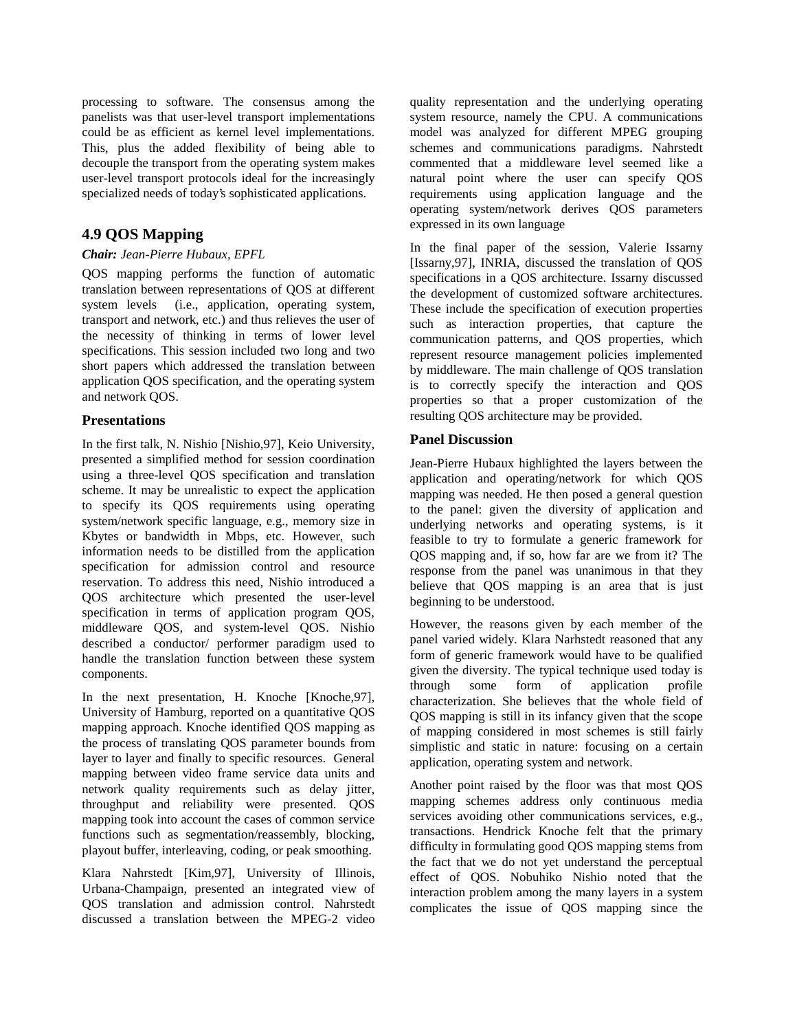processing to software. The consensus among the panelists was that user-level transport implementations could be as efficient as kernel level implementations. This, plus the added flexibility of being able to decouple the transport from the operating system makes user-level transport protocols ideal for the increasingly specialized needs of today's sophisticated applications.

## **4.9 QOS Mapping**

#### *Chair: Jean-Pierre Hubaux, EPFL*

QOS mapping performs the function of automatic translation between representations of QOS at different system levels (i.e., application, operating system, transport and network, etc.) and thus relieves the user of the necessity of thinking in terms of lower level specifications. This session included two long and two short papers which addressed the translation between application QOS specification, and the operating system and network QOS.

#### **Presentations**

In the first talk, N. Nishio [Nishio,97], Keio University, presented a simplified method for session coordination using a three-level QOS specification and translation scheme. It may be unrealistic to expect the application to specify its QOS requirements using operating system/network specific language, e.g., memory size in Kbytes or bandwidth in Mbps, etc. However, such information needs to be distilled from the application specification for admission control and resource reservation. To address this need, Nishio introduced a QOS architecture which presented the user-level specification in terms of application program QOS, middleware QOS, and system-level QOS. Nishio described a conductor/ performer paradigm used to handle the translation function between these system components.

In the next presentation, H. Knoche [Knoche, 97], University of Hamburg, reported on a quantitative QOS mapping approach. Knoche identified QOS mapping as the process of translating QOS parameter bounds from layer to layer and finally to specific resources. General mapping between video frame service data units and network quality requirements such as delay jitter, throughput and reliability were presented. QOS mapping took into account the cases of common service functions such as segmentation/reassembly, blocking, playout buffer, interleaving, coding, or peak smoothing.

Klara Nahrstedt [Kim,97], University of Illinois, Urbana-Champaign, presented an integrated view of QOS translation and admission control. Nahrstedt discussed a translation between the MPEG-2 video quality representation and the underlying operating system resource, namely the CPU. A communications model was analyzed for different MPEG grouping schemes and communications paradigms. Nahrstedt commented that a middleware level seemed like a natural point where the user can specify QOS requirements using application language and the operating system/network derives QOS parameters expressed in its own language

In the final paper of the session, Valerie Issarny [Issarny,97], INRIA, discussed the translation of QOS specifications in a QOS architecture. Issarny discussed the development of customized software architectures. These include the specification of execution properties such as interaction properties, that capture the communication patterns, and QOS properties, which represent resource management policies implemented by middleware. The main challenge of QOS translation is to correctly specify the interaction and QOS properties so that a proper customization of the resulting QOS architecture may be provided.

## **Panel Discussion**

Jean-Pierre Hubaux highlighted the layers between the application and operating/network for which QOS mapping was needed. He then posed a general question to the panel: given the diversity of application and underlying networks and operating systems, is it feasible to try to formulate a generic framework for QOS mapping and, if so, how far are we from it? The response from the panel was unanimous in that they believe that QOS mapping is an area that is just beginning to be understood.

However, the reasons given by each member of the panel varied widely. Klara Narhstedt reasoned that any form of generic framework would have to be qualified given the diversity. The typical technique used today is through some form of application profile characterization. She believes that the whole field of QOS mapping is still in its infancy given that the scope of mapping considered in most schemes is still fairly simplistic and static in nature: focusing on a certain application, operating system and network.

Another point raised by the floor was that most QOS mapping schemes address only continuous media services avoiding other communications services, e.g., transactions. Hendrick Knoche felt that the primary difficulty in formulating good QOS mapping stems from the fact that we do not yet understand the perceptual effect of QOS. Nobuhiko Nishio noted that the interaction problem among the many layers in a system complicates the issue of QOS mapping since the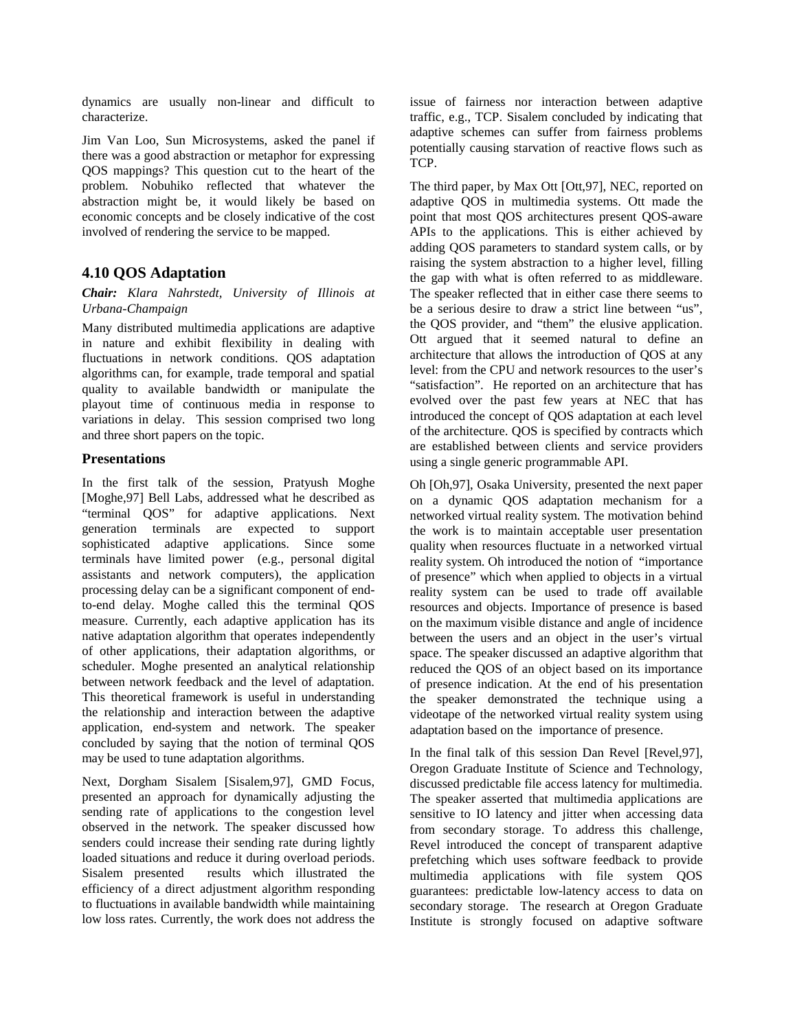dynamics are usually non-linear and difficult to characterize.

Jim Van Loo, Sun Microsystems, asked the panel if there was a good abstraction or metaphor for expressing QOS mappings? This question cut to the heart of the problem. Nobuhiko reflected that whatever the abstraction might be, it would likely be based on economic concepts and be closely indicative of the cost involved of rendering the service to be mapped.

## **4.10 QOS Adaptation**

#### *Chair: Klara Nahrstedt, University of Illinois at Urbana-Champaign*

Many distributed multimedia applications are adaptive in nature and exhibit flexibility in dealing with fluctuations in network conditions. QOS adaptation algorithms can, for example, trade temporal and spatial quality to available bandwidth or manipulate the playout time of continuous media in response to variations in delay. This session comprised two long and three short papers on the topic.

#### **Presentations**

In the first talk of the session, Pratyush Moghe [Moghe,97] Bell Labs, addressed what he described as "terminal QOS" for adaptive applications. Next generation terminals are expected to support sophisticated adaptive applications. Since some terminals have limited power (e.g., personal digital assistants and network computers), the application processing delay can be a significant component of endto-end delay. Moghe called this the terminal QOS measure. Currently, each adaptive application has its native adaptation algorithm that operates independently of other applications, their adaptation algorithms, or scheduler. Moghe presented an analytical relationship between network feedback and the level of adaptation. This theoretical framework is useful in understanding the relationship and interaction between the adaptive application, end-system and network. The speaker concluded by saying that the notion of terminal QOS may be used to tune adaptation algorithms.

Next, Dorgham Sisalem [Sisalem,97], GMD Focus, presented an approach for dynamically adjusting the sending rate of applications to the congestion level observed in the network. The speaker discussed how senders could increase their sending rate during lightly loaded situations and reduce it during overload periods. Sisalem presented results which illustrated the efficiency of a direct adjustment algorithm responding to fluctuations in available bandwidth while maintaining low loss rates. Currently, the work does not address the issue of fairness nor interaction between adaptive traffic, e.g., TCP. Sisalem concluded by indicating that adaptive schemes can suffer from fairness problems potentially causing starvation of reactive flows such as TCP.

The third paper, by Max Ott [Ott,97], NEC, reported on adaptive QOS in multimedia systems. Ott made the point that most QOS architectures present QOS-aware APIs to the applications. This is either achieved by adding QOS parameters to standard system calls, or by raising the system abstraction to a higher level, filling the gap with what is often referred to as middleware. The speaker reflected that in either case there seems to be a serious desire to draw a strict line between "us", the QOS provider, and "them" the elusive application. Ott argued that it seemed natural to define an architecture that allows the introduction of QOS at any level: from the CPU and network resources to the user's "satisfaction". He reported on an architecture that has evolved over the past few years at NEC that has introduced the concept of QOS adaptation at each level of the architecture. QOS is specified by contracts which are established between clients and service providers using a single generic programmable API.

Oh [Oh,97], Osaka University, presented the next paper on a dynamic QOS adaptation mechanism for a networked virtual reality system. The motivation behind the work is to maintain acceptable user presentation quality when resources fluctuate in a networked virtual reality system. Oh introduced the notion of "importance of presence" which when applied to objects in a virtual reality system can be used to trade off available resources and objects. Importance of presence is based on the maximum visible distance and angle of incidence between the users and an object in the user's virtual space. The speaker discussed an adaptive algorithm that reduced the QOS of an object based on its importance of presence indication. At the end of his presentation the speaker demonstrated the technique using a videotape of the networked virtual reality system using adaptation based on the importance of presence.

In the final talk of this session Dan Revel [Revel,97], Oregon Graduate Institute of Science and Technology, discussed predictable file access latency for multimedia. The speaker asserted that multimedia applications are sensitive to IO latency and jitter when accessing data from secondary storage. To address this challenge, Revel introduced the concept of transparent adaptive prefetching which uses software feedback to provide multimedia applications with file system QOS guarantees: predictable low-latency access to data on secondary storage. The research at Oregon Graduate Institute is strongly focused on adaptive software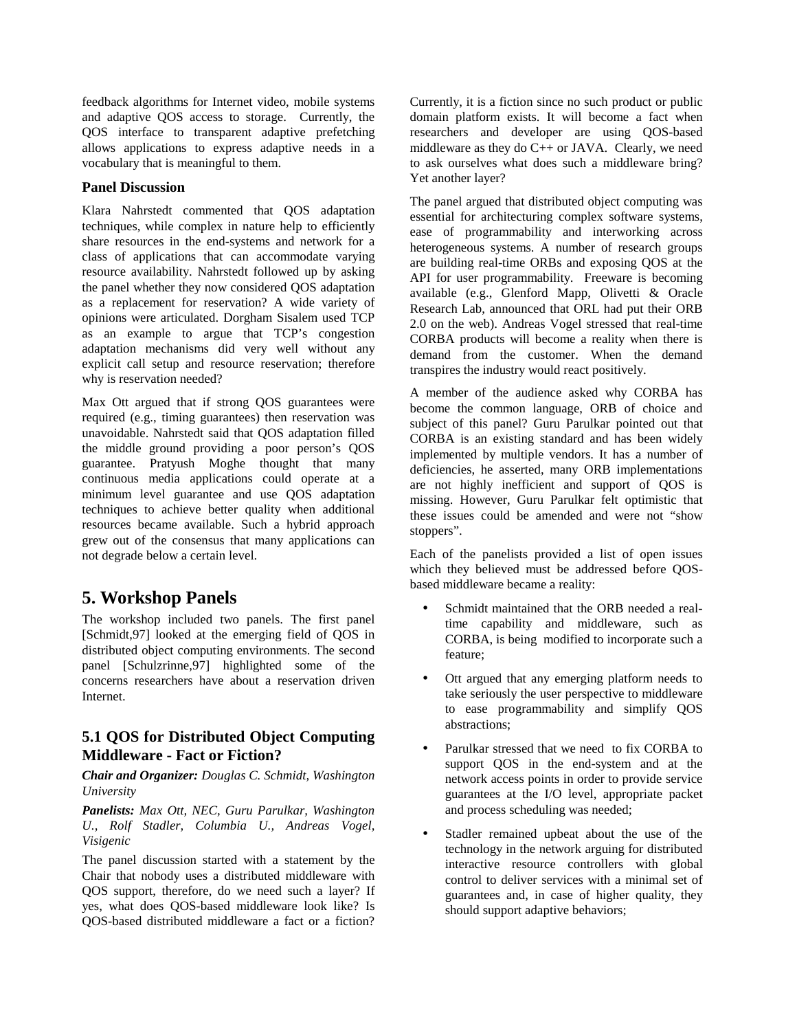feedback algorithms for Internet video, mobile systems and adaptive QOS access to storage. Currently, the QOS interface to transparent adaptive prefetching allows applications to express adaptive needs in a vocabulary that is meaningful to them.

## **Panel Discussion**

Klara Nahrstedt commented that QOS adaptation techniques, while complex in nature help to efficiently share resources in the end-systems and network for a class of applications that can accommodate varying resource availability. Nahrstedt followed up by asking the panel whether they now considered QOS adaptation as a replacement for reservation? A wide variety of opinions were articulated. Dorgham Sisalem used TCP as an example to argue that TCP's congestion adaptation mechanisms did very well without any explicit call setup and resource reservation; therefore why is reservation needed?

Max Ott argued that if strong QOS guarantees were required (e.g., timing guarantees) then reservation was unavoidable. Nahrstedt said that QOS adaptation filled the middle ground providing a poor person's QOS guarantee. Pratyush Moghe thought that many continuous media applications could operate at a minimum level guarantee and use QOS adaptation techniques to achieve better quality when additional resources became available. Such a hybrid approach grew out of the consensus that many applications can not degrade below a certain level.

# **5. Workshop Panels**

The workshop included two panels. The first panel [Schmidt,97] looked at the emerging field of QOS in distributed object computing environments. The second panel [Schulzrinne,97] highlighted some of the concerns researchers have about a reservation driven Internet.

# **5.1 QOS for Distributed Object Computing Middleware - Fact or Fiction?**

*Chair and Organizer: Douglas C. Schmidt, Washington University*

*Panelists: Max Ott, NEC, Guru Parulkar, Washington U., Rolf Stadler, Columbia U., Andreas Vogel, Visigenic*

The panel discussion started with a statement by the Chair that nobody uses a distributed middleware with QOS support, therefore, do we need such a layer? If yes, what does QOS-based middleware look like? Is QOS-based distributed middleware a fact or a fiction?

Currently, it is a fiction since no such product or public domain platform exists. It will become a fact when researchers and developer are using QOS-based middleware as they do C++ or JAVA. Clearly, we need to ask ourselves what does such a middleware bring? Yet another layer?

The panel argued that distributed object computing was essential for architecturing complex software systems, ease of programmability and interworking across heterogeneous systems. A number of research groups are building real-time ORBs and exposing QOS at the API for user programmability. Freeware is becoming available (e.g., Glenford Mapp, Olivetti & Oracle Research Lab, announced that ORL had put their ORB 2.0 on the web). Andreas Vogel stressed that real-time CORBA products will become a reality when there is demand from the customer. When the demand transpires the industry would react positively.

A member of the audience asked why CORBA has become the common language, ORB of choice and subject of this panel? Guru Parulkar pointed out that CORBA is an existing standard and has been widely implemented by multiple vendors. It has a number of deficiencies, he asserted, many ORB implementations are not highly inefficient and support of QOS is missing. However, Guru Parulkar felt optimistic that these issues could be amended and were not "show stoppers".

Each of the panelists provided a list of open issues which they believed must be addressed before QOSbased middleware became a reality:

- Schmidt maintained that the ORB needed a realtime capability and middleware, such as CORBA, is being modified to incorporate such a feature;
- Ott argued that any emerging platform needs to take seriously the user perspective to middleware to ease programmability and simplify QOS abstractions;
- Parulkar stressed that we need to fix CORBA to support QOS in the end-system and at the network access points in order to provide service guarantees at the I/O level, appropriate packet and process scheduling was needed;
- Stadler remained upbeat about the use of the technology in the network arguing for distributed interactive resource controllers with global control to deliver services with a minimal set of guarantees and, in case of higher quality, they should support adaptive behaviors;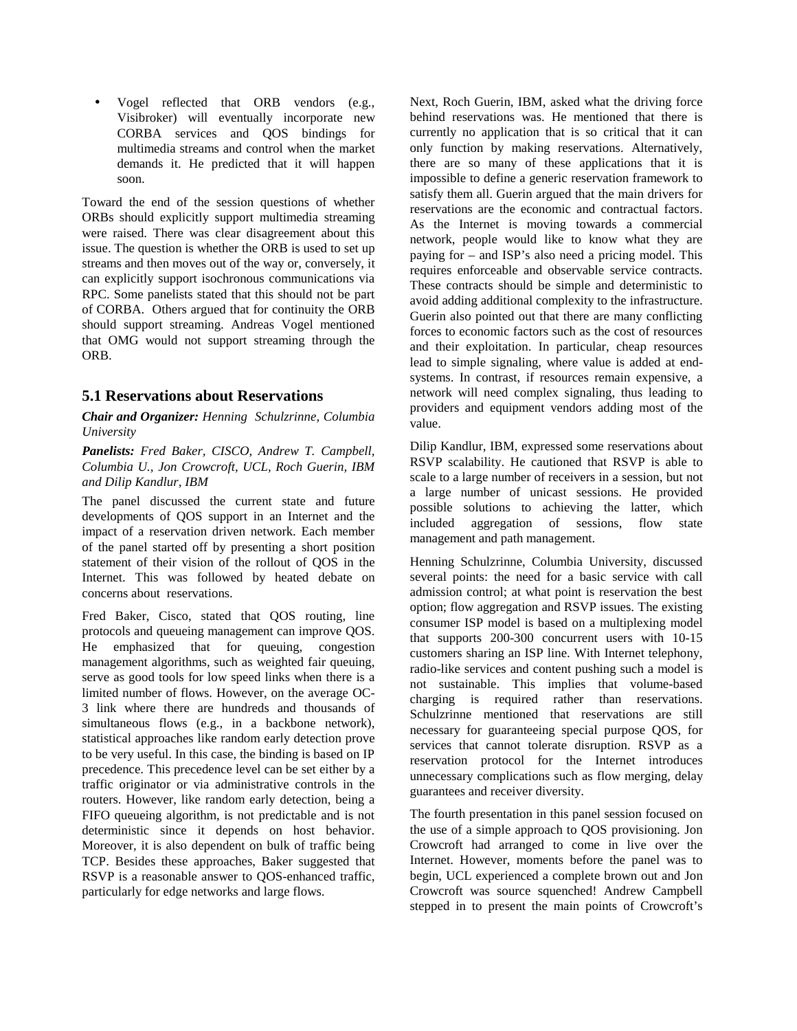• Vogel reflected that ORB vendors (e.g., Visibroker) will eventually incorporate new CORBA services and QOS bindings for multimedia streams and control when the market demands it. He predicted that it will happen soon.

Toward the end of the session questions of whether ORBs should explicitly support multimedia streaming were raised. There was clear disagreement about this issue. The question is whether the ORB is used to set up streams and then moves out of the way or, conversely, it can explicitly support isochronous communications via RPC. Some panelists stated that this should not be part of CORBA. Others argued that for continuity the ORB should support streaming. Andreas Vogel mentioned that OMG would not support streaming through the ORB.

#### **5.1 Reservations about Reservations**

*Chair and Organizer: Henning Schulzrinne, Columbia University*

*Panelists: Fred Baker, CISCO, Andrew T. Campbell, Columbia U., Jon Crowcroft, UCL, Roch Guerin, IBM and Dilip Kandlur, IBM*

The panel discussed the current state and future developments of QOS support in an Internet and the impact of a reservation driven network. Each member of the panel started off by presenting a short position statement of their vision of the rollout of QOS in the Internet. This was followed by heated debate on concerns about reservations.

Fred Baker, Cisco, stated that QOS routing, line protocols and queueing management can improve QOS. He emphasized that for queuing, congestion management algorithms, such as weighted fair queuing, serve as good tools for low speed links when there is a limited number of flows. However, on the average OC-3 link where there are hundreds and thousands of simultaneous flows (e.g., in a backbone network), statistical approaches like random early detection prove to be very useful. In this case, the binding is based on IP precedence. This precedence level can be set either by a traffic originator or via administrative controls in the routers. However, like random early detection, being a FIFO queueing algorithm, is not predictable and is not deterministic since it depends on host behavior. Moreover, it is also dependent on bulk of traffic being TCP. Besides these approaches, Baker suggested that RSVP is a reasonable answer to OOS-enhanced traffic. particularly for edge networks and large flows.

Next, Roch Guerin, IBM, asked what the driving force behind reservations was. He mentioned that there is currently no application that is so critical that it can only function by making reservations. Alternatively, there are so many of these applications that it is impossible to define a generic reservation framework to satisfy them all. Guerin argued that the main drivers for reservations are the economic and contractual factors. As the Internet is moving towards a commercial network, people would like to know what they are paying for – and ISP's also need a pricing model. This requires enforceable and observable service contracts. These contracts should be simple and deterministic to avoid adding additional complexity to the infrastructure. Guerin also pointed out that there are many conflicting forces to economic factors such as the cost of resources and their exploitation. In particular, cheap resources lead to simple signaling, where value is added at endsystems. In contrast, if resources remain expensive, a network will need complex signaling, thus leading to providers and equipment vendors adding most of the value.

Dilip Kandlur, IBM, expressed some reservations about RSVP scalability. He cautioned that RSVP is able to scale to a large number of receivers in a session, but not a large number of unicast sessions. He provided possible solutions to achieving the latter, which included aggregation of sessions, flow state management and path management.

Henning Schulzrinne, Columbia University, discussed several points: the need for a basic service with call admission control; at what point is reservation the best option; flow aggregation and RSVP issues. The existing consumer ISP model is based on a multiplexing model that supports 200-300 concurrent users with 10-15 customers sharing an ISP line. With Internet telephony, radio-like services and content pushing such a model is not sustainable. This implies that volume-based charging is required rather than reservations. Schulzrinne mentioned that reservations are still necessary for guaranteeing special purpose QOS, for services that cannot tolerate disruption. RSVP as a reservation protocol for the Internet introduces unnecessary complications such as flow merging, delay guarantees and receiver diversity.

The fourth presentation in this panel session focused on the use of a simple approach to QOS provisioning. Jon Crowcroft had arranged to come in live over the Internet. However, moments before the panel was to begin, UCL experienced a complete brown out and Jon Crowcroft was source squenched! Andrew Campbell stepped in to present the main points of Crowcroft's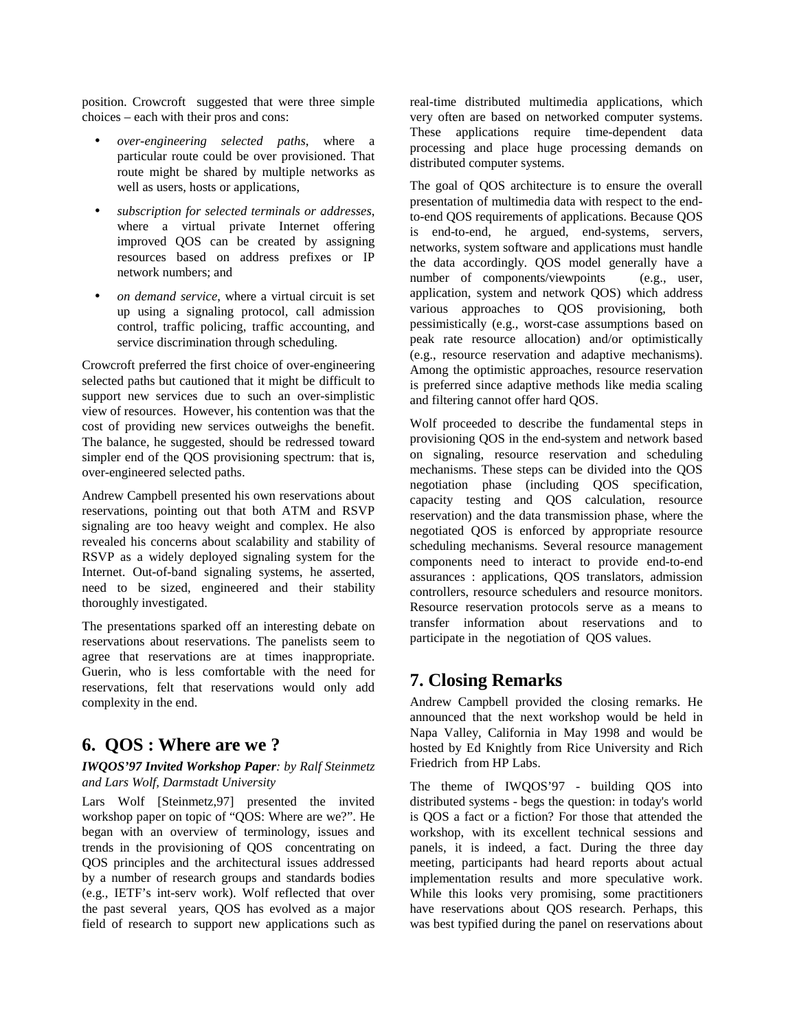position. Crowcroft suggested that were three simple choices – each with their pros and cons:

- *over-engineering selected paths*, where a particular route could be over provisioned. That route might be shared by multiple networks as well as users, hosts or applications,
- *subscription for selected terminals or addresses*, where a virtual private Internet offering improved QOS can be created by assigning resources based on address prefixes or IP network numbers; and
- *on demand service*, where a virtual circuit is set up using a signaling protocol, call admission control, traffic policing, traffic accounting, and service discrimination through scheduling.

Crowcroft preferred the first choice of over-engineering selected paths but cautioned that it might be difficult to support new services due to such an over-simplistic view of resources. However, his contention was that the cost of providing new services outweighs the benefit. The balance, he suggested, should be redressed toward simpler end of the QOS provisioning spectrum: that is, over-engineered selected paths.

Andrew Campbell presented his own reservations about reservations, pointing out that both ATM and RSVP signaling are too heavy weight and complex. He also revealed his concerns about scalability and stability of RSVP as a widely deployed signaling system for the Internet. Out-of-band signaling systems, he asserted, need to be sized, engineered and their stability thoroughly investigated.

The presentations sparked off an interesting debate on reservations about reservations. The panelists seem to agree that reservations are at times inappropriate. Guerin, who is less comfortable with the need for reservations, felt that reservations would only add complexity in the end.

# **6. QOS : Where are we ?**

#### *IWQOS'97 Invited Workshop Paper: by Ralf Steinmetz and Lars Wolf, Darmstadt University*

Lars Wolf [Steinmetz,97] presented the invited workshop paper on topic of "QOS: Where are we?". He began with an overview of terminology, issues and trends in the provisioning of QOS concentrating on QOS principles and the architectural issues addressed by a number of research groups and standards bodies (e.g., IETF's int-serv work). Wolf reflected that over the past several years, QOS has evolved as a major field of research to support new applications such as real-time distributed multimedia applications, which very often are based on networked computer systems. These applications require time-dependent data processing and place huge processing demands on distributed computer systems.

The goal of QOS architecture is to ensure the overall presentation of multimedia data with respect to the endto-end QOS requirements of applications. Because QOS is end-to-end, he argued, end-systems, servers, networks, system software and applications must handle the data accordingly. QOS model generally have a number of components/viewpoints (e.g., user, application, system and network QOS) which address various approaches to QOS provisioning, both pessimistically (e.g., worst-case assumptions based on peak rate resource allocation) and/or optimistically (e.g., resource reservation and adaptive mechanisms). Among the optimistic approaches, resource reservation is preferred since adaptive methods like media scaling and filtering cannot offer hard QOS.

Wolf proceeded to describe the fundamental steps in provisioning QOS in the end-system and network based on signaling, resource reservation and scheduling mechanisms. These steps can be divided into the QOS negotiation phase (including QOS specification, capacity testing and QOS calculation, resource reservation) and the data transmission phase, where the negotiated QOS is enforced by appropriate resource scheduling mechanisms. Several resource management components need to interact to provide end-to-end assurances : applications, QOS translators, admission controllers, resource schedulers and resource monitors. Resource reservation protocols serve as a means to transfer information about reservations and to participate in the negotiation of QOS values.

# **7. Closing Remarks**

Andrew Campbell provided the closing remarks. He announced that the next workshop would be held in Napa Valley, California in May 1998 and would be hosted by Ed Knightly from Rice University and Rich Friedrich from HP Labs.

The theme of IWQOS'97 - building QOS into distributed systems - begs the question: in today's world is QOS a fact or a fiction? For those that attended the workshop, with its excellent technical sessions and panels, it is indeed, a fact. During the three day meeting, participants had heard reports about actual implementation results and more speculative work. While this looks very promising, some practitioners have reservations about QOS research. Perhaps, this was best typified during the panel on reservations about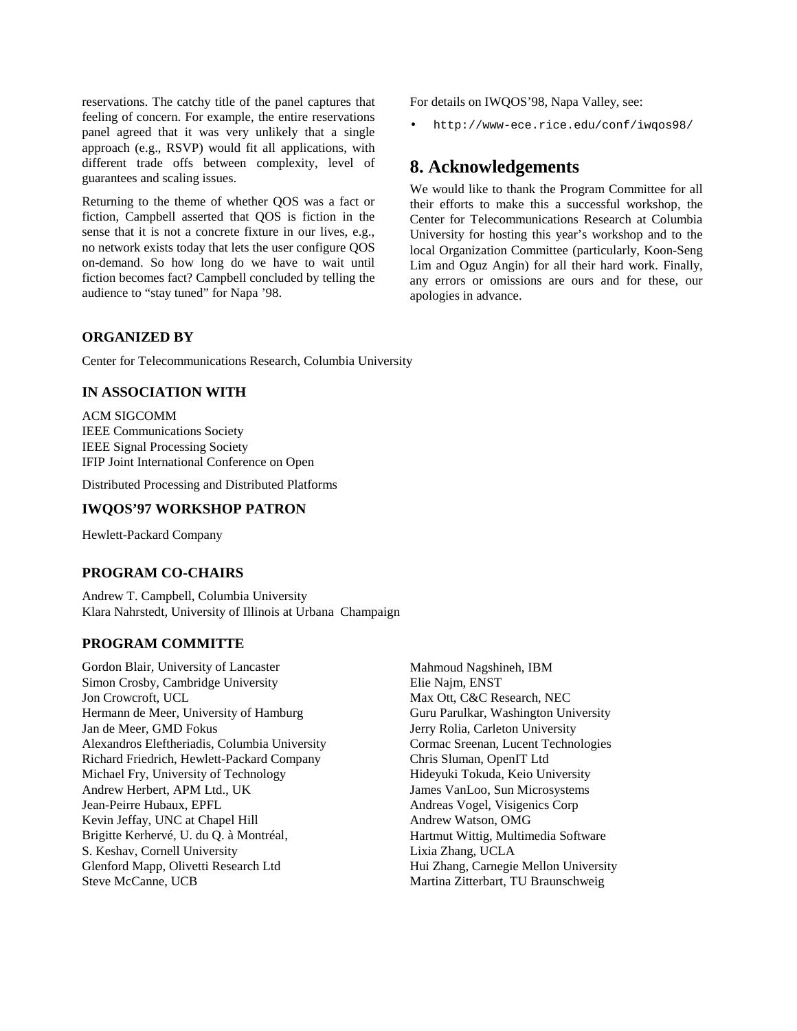reservations. The catchy title of the panel captures that feeling of concern. For example, the entire reservations panel agreed that it was very unlikely that a single approach (e.g., RSVP) would fit all applications, with different trade offs between complexity, level of guarantees and scaling issues.

Returning to the theme of whether QOS was a fact or fiction, Campbell asserted that QOS is fiction in the sense that it is not a concrete fixture in our lives, e.g., no network exists today that lets the user configure QOS on-demand. So how long do we have to wait until fiction becomes fact? Campbell concluded by telling the audience to "stay tuned" for Napa '98.

#### **ORGANIZED BY**

Center for Telecommunications Research, Columbia University

#### **IN ASSOCIATION WITH**

ACM SIGCOMM IEEE Communications Society IEEE Signal Processing Society IFIP Joint International Conference on Open

Distributed Processing and Distributed Platforms

#### **IWQOS'97 WORKSHOP PATRON**

Hewlett-Packard Company

#### **PROGRAM CO-CHAIRS**

Andrew T. Campbell, Columbia University Klara Nahrstedt, University of Illinois at Urbana Champaign

### **PROGRAM COMMITTE**

Gordon Blair, University of Lancaster Simon Crosby, Cambridge University Jon Crowcroft, UCL Hermann de Meer, University of Hamburg Jan de Meer, GMD Fokus Alexandros Eleftheriadis, Columbia University Richard Friedrich, Hewlett-Packard Company Michael Fry, University of Technology Andrew Herbert, APM Ltd., UK Jean-Peirre Hubaux, EPFL Kevin Jeffay, UNC at Chapel Hill Brigitte Kerhervé, U. du Q. à Montréal, S. Keshav, Cornell University Glenford Mapp, Olivetti Research Ltd Steve McCanne, UCB

For details on IWQOS'98, Napa Valley, see:

• http://www-ece.rice.edu/conf/iwqos98/

# **8. Acknowledgements**

We would like to thank the Program Committee for all their efforts to make this a successful workshop, the Center for Telecommunications Research at Columbia University for hosting this year's workshop and to the local Organization Committee (particularly, Koon-Seng Lim and Oguz Angin) for all their hard work. Finally, any errors or omissions are ours and for these, our apologies in advance.

Mahmoud Nagshineh, IBM Elie Najm, ENST Max Ott, C&C Research, NEC Guru Parulkar, Washington University Jerry Rolia, Carleton University Cormac Sreenan, Lucent Technologies Chris Sluman, OpenIT Ltd Hideyuki Tokuda, Keio University James VanLoo, Sun Microsystems Andreas Vogel, Visigenics Corp Andrew Watson, OMG Hartmut Wittig, Multimedia Software Lixia Zhang, UCLA Hui Zhang, Carnegie Mellon University Martina Zitterbart, TU Braunschweig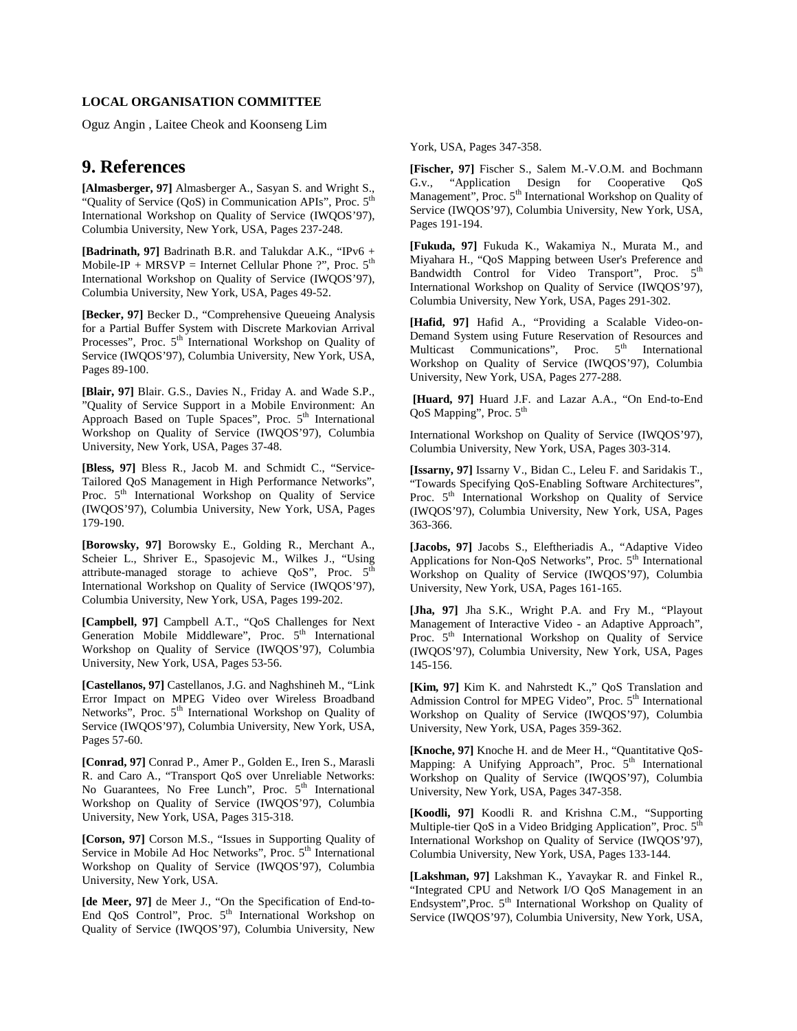#### **LOCAL ORGANISATION COMMITTEE**

Oguz Angin , Laitee Cheok and Koonseng Lim

# **9. References**

**[Almasberger, 97]** Almasberger A., Sasyan S. and Wright S., "Quality of Service  $(QoS)$  in Communication APIs", Proc.  $5<sup>th</sup>$ International Workshop on Quality of Service (IWQOS'97), Columbia University, New York, USA, Pages 237-248.

**[Badrinath, 97]** Badrinath B.R. and Talukdar A.K., "IPv6 + Mobile-IP + MRSVP = Internet Cellular Phone ?", Proc.  $5<sup>th</sup>$ International Workshop on Quality of Service (IWQOS'97), Columbia University, New York, USA, Pages 49-52.

**[Becker, 97]** Becker D., "Comprehensive Queueing Analysis for a Partial Buffer System with Discrete Markovian Arrival Processes", Proc. 5<sup>th</sup> International Workshop on Quality of Service (IWQOS'97), Columbia University, New York, USA, Pages 89-100.

**[Blair, 97]** Blair. G.S., Davies N., Friday A. and Wade S.P., "Quality of Service Support in a Mobile Environment: An Approach Based on Tuple Spaces", Proc. 5<sup>th</sup> International Workshop on Quality of Service (IWQOS'97), Columbia University, New York, USA, Pages 37-48.

**[Bless, 97]** Bless R., Jacob M. and Schmidt C., "Service-Tailored QoS Management in High Performance Networks", Proc. 5<sup>th</sup> International Workshop on Quality of Service (IWQOS'97), Columbia University, New York, USA, Pages 179-190.

**[Borowsky, 97]** Borowsky E., Golding R., Merchant A., Scheier L., Shriver E., Spasojevic M., Wilkes J., "Using attribute-managed storage to achieve  $QoS$ ", Proc.  $5<sup>th</sup>$ International Workshop on Quality of Service (IWQOS'97), Columbia University, New York, USA, Pages 199-202.

**[Campbell, 97]** Campbell A.T., "QoS Challenges for Next Generation Mobile Middleware", Proc. 5<sup>th</sup> International Workshop on Quality of Service (IWQOS'97), Columbia University, New York, USA, Pages 53-56.

**[Castellanos, 97]** Castellanos, J.G. and Naghshineh M., "Link Error Impact on MPEG Video over Wireless Broadband Networks", Proc. 5<sup>th</sup> International Workshop on Quality of Service (IWQOS'97), Columbia University, New York, USA, Pages 57-60.

**[Conrad, 97]** Conrad P., Amer P., Golden E., Iren S., Marasli R. and Caro A., "Transport QoS over Unreliable Networks: No Guarantees, No Free Lunch", Proc. 5<sup>th</sup> International Workshop on Quality of Service (IWQOS'97), Columbia University, New York, USA, Pages 315-318.

**[Corson, 97]** Corson M.S., "Issues in Supporting Quality of Service in Mobile Ad Hoc Networks", Proc. 5<sup>th</sup> International Workshop on Quality of Service (IWQOS'97), Columbia University, New York, USA.

**[de Meer, 97]** de Meer J., "On the Specification of End-to-End QoS Control", Proc. 5<sup>th</sup> International Workshop on Quality of Service (IWQOS'97), Columbia University, New

York, USA, Pages 347-358.

**[Fischer, 97]** Fischer S., Salem M.-V.O.M. and Bochmann G.v., "Application Design for Cooperative QoS Management", Proc. 5<sup>th</sup> International Workshop on Quality of Service (IWQOS'97), Columbia University, New York, USA, Pages 191-194.

**[Fukuda, 97]** Fukuda K., Wakamiya N., Murata M., and Miyahara H., "QoS Mapping between User's Preference and Bandwidth Control for Video Transport", Proc. 5<sup>th</sup> International Workshop on Quality of Service (IWQOS'97), Columbia University, New York, USA, Pages 291-302.

[Hafid, 97] Hafid A., "Providing a Scalable Video-on-Demand System using Future Reservation of Resources and Multicast Communications", Proc.  $5<sup>th</sup>$  International Workshop on Quality of Service (IWQOS'97), Columbia University, New York, USA, Pages 277-288.

 **[Huard, 97]** Huard J.F. and Lazar A.A., "On End-to-End QoS Mapping", Proc. 5th

International Workshop on Quality of Service (IWQOS'97), Columbia University, New York, USA, Pages 303-314.

**[Issarny, 97]** Issarny V., Bidan C., Leleu F. and Saridakis T., "Towards Specifying QoS-Enabling Software Architectures", Proc. 5<sup>th</sup> International Workshop on Quality of Service (IWQOS'97), Columbia University, New York, USA, Pages 363-366.

**[Jacobs, 97]** Jacobs S., Eleftheriadis A., "Adaptive Video Applications for Non- $\overline{O}$  Networks", Proc.  $5<sup>th</sup>$  International Workshop on Quality of Service (IWQOS'97), Columbia University, New York, USA, Pages 161-165.

[Jha, 97] Jha S.K., Wright P.A. and Fry M., "Playout Management of Interactive Video - an Adaptive Approach", Proc. 5<sup>th</sup> International Workshop on Quality of Service (IWQOS'97), Columbia University, New York, USA, Pages 145-156.

**[Kim, 97]** Kim K. and Nahrstedt K.," QoS Translation and Admission Control for MPEG Video", Proc. 5<sup>th</sup> International Workshop on Quality of Service (IWQOS'97), Columbia University, New York, USA, Pages 359-362.

**[Knoche, 97]** Knoche H. and de Meer H., "Quantitative QoS-Mapping: A Unifying Approach", Proc.  $5<sup>th</sup>$  International Workshop on Quality of Service (IWQOS'97), Columbia University, New York, USA, Pages 347-358.

**[Koodli, 97]** Koodli R. and Krishna C.M., "Supporting Multiple-tier QoS in a Video Bridging Application", Proc. 5<sup>th</sup> International Workshop on Quality of Service (IWQOS'97), Columbia University, New York, USA, Pages 133-144.

**[Lakshman, 97]** Lakshman K., Yavaykar R. and Finkel R., "Integrated CPU and Network I/O QoS Management in an Endsystem", Proc. 5<sup>th</sup> International Workshop on Quality of Service (IWQOS'97), Columbia University, New York, USA,